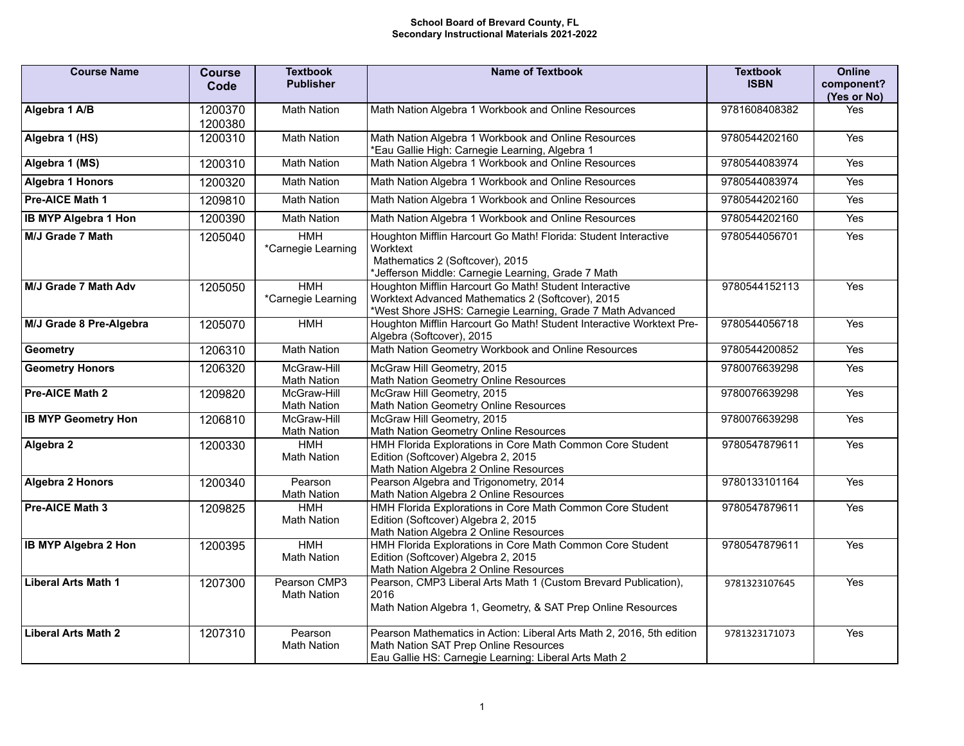## **School Board of Brevard County, FL Secondary Instructional Materials 2021-2022**

| <b>Course Name</b>          | <b>Course</b><br>Code | <b>Textbook</b><br><b>Publisher</b> | <b>Name of Textbook</b>                                                                                                                                                   | <b>Textbook</b><br><b>ISBN</b> | <b>Online</b><br>component?<br>(Yes or No) |
|-----------------------------|-----------------------|-------------------------------------|---------------------------------------------------------------------------------------------------------------------------------------------------------------------------|--------------------------------|--------------------------------------------|
| Algebra 1 A/B               | 1200370<br>1200380    | <b>Math Nation</b>                  | Math Nation Algebra 1 Workbook and Online Resources                                                                                                                       | 9781608408382                  | Yes                                        |
| Algebra 1 (HS)              | 1200310               | <b>Math Nation</b>                  | Math Nation Algebra 1 Workbook and Online Resources<br>*Eau Gallie High: Carnegie Learning, Algebra 1                                                                     | 9780544202160                  | Yes                                        |
| Algebra 1 (MS)              | 1200310               | <b>Math Nation</b>                  | Math Nation Algebra 1 Workbook and Online Resources                                                                                                                       | 9780544083974                  | Yes                                        |
| <b>Algebra 1 Honors</b>     | 1200320               | <b>Math Nation</b>                  | Math Nation Algebra 1 Workbook and Online Resources                                                                                                                       | 9780544083974                  | Yes                                        |
| Pre-AICE Math 1             | 1209810               | <b>Math Nation</b>                  | Math Nation Algebra 1 Workbook and Online Resources                                                                                                                       | 9780544202160                  | Yes                                        |
| <b>IB MYP Algebra 1 Hon</b> | 1200390               | <b>Math Nation</b>                  | Math Nation Algebra 1 Workbook and Online Resources                                                                                                                       | 9780544202160                  | <b>Yes</b>                                 |
| M/J Grade 7 Math            | 1205040               | <b>HMH</b><br>*Carnegie Learning    | Houghton Mifflin Harcourt Go Math! Florida: Student Interactive<br>Worktext<br>Mathematics 2 (Softcover), 2015<br>*Jefferson Middle: Carnegie Learning, Grade 7 Math      | 9780544056701                  | Yes                                        |
| M/J Grade 7 Math Adv        | 1205050               | <b>HMH</b><br>*Carnegie Learning    | Houghton Mifflin Harcourt Go Math! Student Interactive<br>Worktext Advanced Mathematics 2 (Softcover), 2015<br>*West Shore JSHS: Carnegie Learning, Grade 7 Math Advanced | 9780544152113                  | Yes                                        |
| M/J Grade 8 Pre-Algebra     | 1205070               | <b>HMH</b>                          | Houghton Mifflin Harcourt Go Math! Student Interactive Worktext Pre-<br>Algebra (Softcover), 2015                                                                         | 9780544056718                  | Yes                                        |
| <b>Geometry</b>             | 1206310               | <b>Math Nation</b>                  | Math Nation Geometry Workbook and Online Resources                                                                                                                        | 9780544200852                  | Yes                                        |
| <b>Geometry Honors</b>      | 1206320               | McGraw-Hill<br><b>Math Nation</b>   | McGraw Hill Geometry, 2015<br>Math Nation Geometry Online Resources                                                                                                       | 9780076639298                  | Yes                                        |
| Pre-AICE Math 2             | 1209820               | McGraw-Hill<br><b>Math Nation</b>   | McGraw Hill Geometry, 2015<br>Math Nation Geometry Online Resources                                                                                                       | 9780076639298                  | Yes                                        |
| <b>IB MYP Geometry Hon</b>  | 1206810               | McGraw-Hill<br><b>Math Nation</b>   | McGraw Hill Geometry, 2015<br>Math Nation Geometry Online Resources                                                                                                       | 9780076639298                  | Yes                                        |
| Algebra 2                   | 1200330               | <b>HMH</b><br><b>Math Nation</b>    | HMH Florida Explorations in Core Math Common Core Student<br>Edition (Softcover) Algebra 2, 2015<br>Math Nation Algebra 2 Online Resources                                | 9780547879611                  | Yes                                        |
| <b>Algebra 2 Honors</b>     | 1200340               | Pearson<br><b>Math Nation</b>       | Pearson Algebra and Trigonometry, 2014<br>Math Nation Algebra 2 Online Resources                                                                                          | 9780133101164                  | Yes                                        |
| Pre-AICE Math 3             | 1209825               | <b>HMH</b><br><b>Math Nation</b>    | HMH Florida Explorations in Core Math Common Core Student<br>Edition (Softcover) Algebra 2, 2015<br>Math Nation Algebra 2 Online Resources                                | 9780547879611                  | Yes                                        |
| <b>IB MYP Algebra 2 Hon</b> | 1200395               | <b>HMH</b><br><b>Math Nation</b>    | HMH Florida Explorations in Core Math Common Core Student<br>Edition (Softcover) Algebra 2, 2015<br>Math Nation Algebra 2 Online Resources                                | 9780547879611                  | Yes                                        |
| <b>Liberal Arts Math 1</b>  | 1207300               | Pearson CMP3<br><b>Math Nation</b>  | Pearson, CMP3 Liberal Arts Math 1 (Custom Brevard Publication),<br>2016<br>Math Nation Algebra 1, Geometry, & SAT Prep Online Resources                                   | 9781323107645                  | Yes                                        |
| <b>Liberal Arts Math 2</b>  | 1207310               | Pearson<br><b>Math Nation</b>       | Pearson Mathematics in Action: Liberal Arts Math 2, 2016, 5th edition<br>Math Nation SAT Prep Online Resources<br>Eau Gallie HS: Carnegie Learning: Liberal Arts Math 2   | 9781323171073                  | Yes                                        |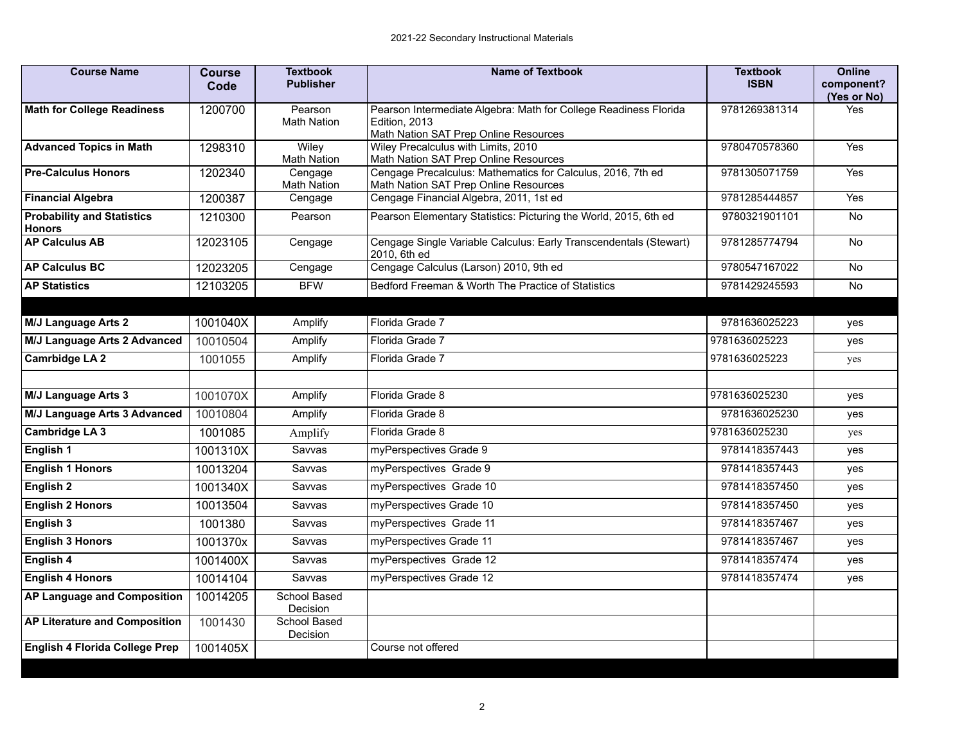| <b>Course Name</b>                                 | <b>Course</b><br>Code | <b>Textbook</b><br><b>Publisher</b> | <b>Name of Textbook</b>                                                                                                    | <b>Textbook</b><br><b>ISBN</b> | Online<br>component?<br>(Yes or No) |
|----------------------------------------------------|-----------------------|-------------------------------------|----------------------------------------------------------------------------------------------------------------------------|--------------------------------|-------------------------------------|
| <b>Math for College Readiness</b>                  | 1200700               | Pearson<br><b>Math Nation</b>       | Pearson Intermediate Algebra: Math for College Readiness Florida<br>Edition, 2013<br>Math Nation SAT Prep Online Resources | 9781269381314                  | Yes                                 |
| <b>Advanced Topics in Math</b>                     | 1298310               | Wiley<br><b>Math Nation</b>         | Wiley Precalculus with Limits, 2010<br>Math Nation SAT Prep Online Resources                                               | 9780470578360                  | Yes                                 |
| <b>Pre-Calculus Honors</b>                         | 1202340               | Cengage<br><b>Math Nation</b>       | Cengage Precalculus: Mathematics for Calculus, 2016, 7th ed<br>Math Nation SAT Prep Online Resources                       | 9781305071759                  | Yes                                 |
| <b>Financial Algebra</b>                           | 1200387               | Cengage                             | Cengage Financial Algebra, 2011, 1st ed                                                                                    | 9781285444857                  | <b>Yes</b>                          |
| <b>Probability and Statistics</b><br><b>Honors</b> | 1210300               | Pearson                             | Pearson Elementary Statistics: Picturing the World, 2015, 6th ed                                                           | 9780321901101                  | <b>No</b>                           |
| <b>AP Calculus AB</b>                              | 12023105              | Cengage                             | Cengage Single Variable Calculus: Early Transcendentals (Stewart)<br>2010, 6th ed                                          | 9781285774794                  | <b>No</b>                           |
| <b>AP Calculus BC</b>                              | 12023205              | Cengage                             | Cengage Calculus (Larson) 2010, 9th ed                                                                                     | 9780547167022                  | <b>No</b>                           |
| <b>AP Statistics</b>                               | 12103205              | <b>BFW</b>                          | Bedford Freeman & Worth The Practice of Statistics                                                                         | 9781429245593                  | <b>No</b>                           |
|                                                    |                       |                                     |                                                                                                                            |                                |                                     |
| <b>M/J Language Arts 2</b>                         | 1001040X              | Amplify                             | Florida Grade 7                                                                                                            | 9781636025223                  | yes                                 |
| M/J Language Arts 2 Advanced                       | 10010504              | Amplify                             | Florida Grade 7                                                                                                            | 9781636025223                  | yes                                 |
| <b>Camrbidge LA 2</b>                              | 1001055               | Amplify                             | Florida Grade 7                                                                                                            | 9781636025223                  | yes                                 |
|                                                    |                       |                                     |                                                                                                                            |                                |                                     |
| <b>M/J Language Arts 3</b>                         | 1001070X              | Amplify                             | Florida Grade 8                                                                                                            | 9781636025230                  | yes                                 |
| M/J Language Arts 3 Advanced                       | 10010804              | Amplify                             | Florida Grade 8                                                                                                            | 9781636025230                  | yes                                 |
| Cambridge LA 3                                     | 1001085               | Amplify                             | Florida Grade 8                                                                                                            | 9781636025230                  | yes                                 |
| English 1                                          | 1001310X              | Savvas                              | myPerspectives Grade 9                                                                                                     | 9781418357443                  | yes                                 |
| <b>English 1 Honors</b>                            | 10013204              | Savvas                              | myPerspectives Grade 9                                                                                                     | 9781418357443                  | yes                                 |
| English 2                                          | 1001340X              | Savvas                              | myPerspectives Grade 10                                                                                                    | 9781418357450                  | yes                                 |
| <b>English 2 Honors</b>                            | 10013504              | Savvas                              | myPerspectives Grade 10                                                                                                    | 9781418357450                  | yes                                 |
| English 3                                          | 1001380               | Savvas                              | myPerspectives Grade 11                                                                                                    | 9781418357467                  | yes                                 |
| <b>English 3 Honors</b>                            | 1001370x              | Savvas                              | myPerspectives Grade 11                                                                                                    | 9781418357467                  | yes                                 |
| English 4                                          | 1001400X              | Savvas                              | myPerspectives Grade 12                                                                                                    | 9781418357474                  | yes                                 |
| <b>English 4 Honors</b>                            | 10014104              | Savvas                              | myPerspectives Grade 12                                                                                                    | 9781418357474                  | yes                                 |
| <b>AP Language and Composition</b>                 | 10014205              | School Based<br>Decision            |                                                                                                                            |                                |                                     |
| <b>AP Literature and Composition</b>               | 1001430               | School Based<br>Decision            |                                                                                                                            |                                |                                     |
| <b>English 4 Florida College Prep</b>              | 1001405X              |                                     | Course not offered                                                                                                         |                                |                                     |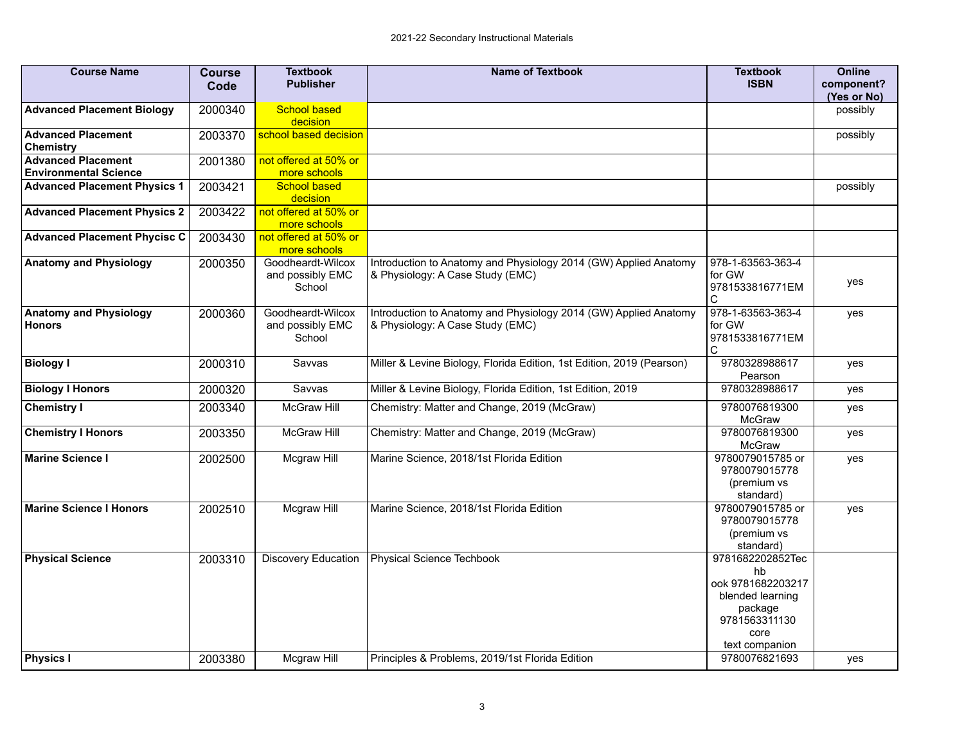| <b>Course Name</b>                             | <b>Course</b> | <b>Textbook</b><br><b>Publisher</b>             | <b>Name of Textbook</b>                                                                              | <b>Textbook</b><br><b>ISBN</b>                                                                                        | <b>Online</b><br>component? |
|------------------------------------------------|---------------|-------------------------------------------------|------------------------------------------------------------------------------------------------------|-----------------------------------------------------------------------------------------------------------------------|-----------------------------|
|                                                | Code          |                                                 |                                                                                                      |                                                                                                                       | (Yes or No)                 |
| <b>Advanced Placement Biology</b>              | 2000340       | <b>School based</b><br>decision                 |                                                                                                      |                                                                                                                       | possibly                    |
| <b>Advanced Placement</b><br>Chemistry         | 2003370       | school based decision                           |                                                                                                      |                                                                                                                       | possibly                    |
| <b>Advanced Placement</b>                      | 2001380       | not offered at 50% or                           |                                                                                                      |                                                                                                                       |                             |
| <b>Environmental Science</b>                   |               | more schools                                    |                                                                                                      |                                                                                                                       |                             |
| <b>Advanced Placement Physics 1</b>            | 2003421       | <b>School based</b><br>decision                 |                                                                                                      |                                                                                                                       | possibly                    |
| <b>Advanced Placement Physics 2</b>            | 2003422       | not offered at 50% or<br>more schools           |                                                                                                      |                                                                                                                       |                             |
| <b>Advanced Placement Phycisc C</b>            | 2003430       | not offered at 50% or<br>more schools           |                                                                                                      |                                                                                                                       |                             |
| <b>Anatomy and Physiology</b>                  | 2000350       | Goodheardt-Wilcox<br>and possibly EMC<br>School | Introduction to Anatomy and Physiology 2014 (GW) Applied Anatomy<br>& Physiology: A Case Study (EMC) | 978-1-63563-363-4<br>for GW<br>9781533816771EM<br>C                                                                   | yes                         |
| <b>Anatomy and Physiology</b><br><b>Honors</b> | 2000360       | Goodheardt-Wilcox<br>and possibly EMC<br>School | Introduction to Anatomy and Physiology 2014 (GW) Applied Anatomy<br>& Physiology: A Case Study (EMC) | 978-1-63563-363-4<br>for GW<br>9781533816771EM<br>C                                                                   | yes                         |
| <b>Biology I</b>                               | 2000310       | Savvas                                          | Miller & Levine Biology, Florida Edition, 1st Edition, 2019 (Pearson)                                | 9780328988617<br>Pearson                                                                                              | yes                         |
| <b>Biology I Honors</b>                        | 2000320       | Savvas                                          | Miller & Levine Biology, Florida Edition, 1st Edition, 2019                                          | 9780328988617                                                                                                         | yes                         |
| <b>Chemistry I</b>                             | 2003340       | <b>McGraw Hill</b>                              | Chemistry: Matter and Change, 2019 (McGraw)                                                          | 9780076819300<br><b>McGraw</b>                                                                                        | yes                         |
| <b>Chemistry I Honors</b>                      | 2003350       | <b>McGraw Hill</b>                              | Chemistry: Matter and Change, 2019 (McGraw)                                                          | 9780076819300<br><b>McGraw</b>                                                                                        | yes                         |
| <b>Marine Science I</b>                        | 2002500       | Mcgraw Hill                                     | Marine Science, 2018/1st Florida Edition                                                             | 9780079015785 or<br>9780079015778<br>(premium vs<br>standard)                                                         | yes                         |
| <b>Marine Science I Honors</b>                 | 2002510       | Mcgraw Hill                                     | Marine Science, 2018/1st Florida Edition                                                             | 9780079015785 or<br>9780079015778<br>(premium vs<br>standard)                                                         | yes                         |
| <b>Physical Science</b>                        | 2003310       | <b>Discovery Education</b>                      | <b>Physical Science Techbook</b>                                                                     | 9781682202852Tec<br>hh<br>ook 9781682203217<br>blended learning<br>package<br>9781563311130<br>core<br>text companion |                             |
| <b>Physics I</b>                               | 2003380       | Mcgraw Hill                                     | Principles & Problems, 2019/1st Florida Edition                                                      | 9780076821693                                                                                                         | yes                         |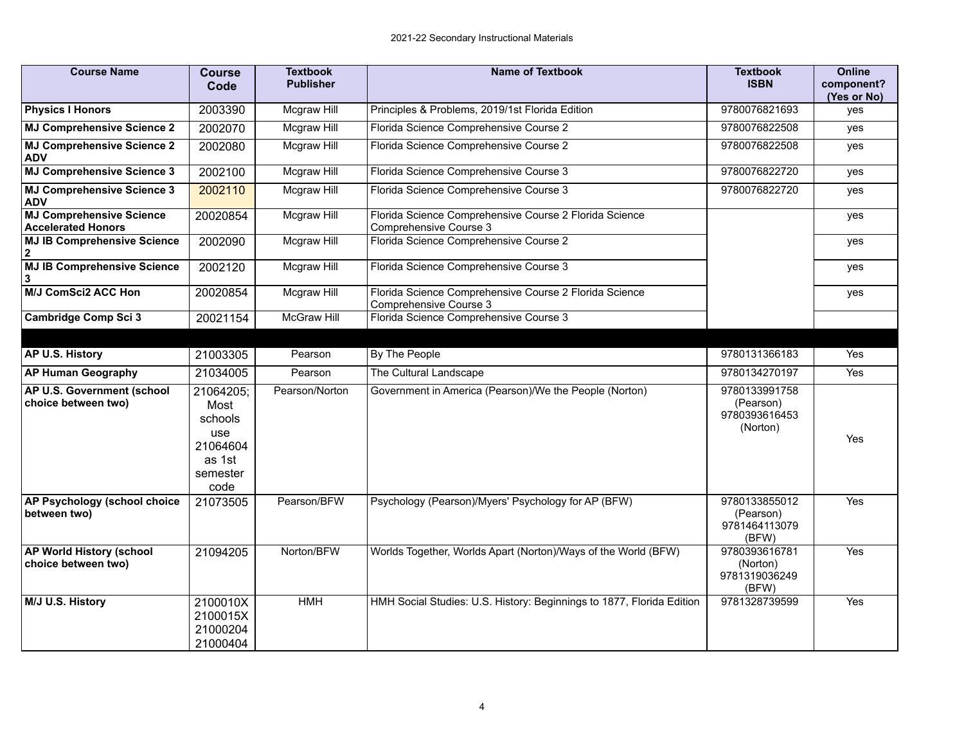| <b>Course Name</b>                                           | <b>Course</b><br>Code                                                         | <b>Textbook</b><br><b>Publisher</b> | <b>Name of Textbook</b>                                                          | <b>Textbook</b><br><b>ISBN</b>                          | <b>Online</b><br>component?<br>(Yes or No) |
|--------------------------------------------------------------|-------------------------------------------------------------------------------|-------------------------------------|----------------------------------------------------------------------------------|---------------------------------------------------------|--------------------------------------------|
| <b>Physics I Honors</b>                                      | 2003390                                                                       | Mcgraw Hill                         | Principles & Problems, 2019/1st Florida Edition                                  | 9780076821693                                           | yes                                        |
| <b>MJ Comprehensive Science 2</b>                            | 2002070                                                                       | Mcgraw Hill                         | Florida Science Comprehensive Course 2                                           | 9780076822508                                           | yes                                        |
| <b>MJ Comprehensive Science 2</b><br><b>ADV</b>              | 2002080                                                                       | Mcgraw Hill                         | Florida Science Comprehensive Course 2                                           | 9780076822508                                           | yes                                        |
| <b>MJ Comprehensive Science 3</b>                            | 2002100                                                                       | <b>Mcgraw Hill</b>                  | Florida Science Comprehensive Course 3                                           | 9780076822720                                           | yes                                        |
| <b>MJ Comprehensive Science 3</b><br><b>ADV</b>              | 2002110                                                                       | Mcgraw Hill                         | Florida Science Comprehensive Course 3                                           | 9780076822720                                           | yes                                        |
| <b>MJ Comprehensive Science</b><br><b>Accelerated Honors</b> | 20020854                                                                      | Mcgraw Hill                         | Florida Science Comprehensive Course 2 Florida Science<br>Comprehensive Course 3 |                                                         | yes                                        |
| <b>MJ IB Comprehensive Science</b><br>$\mathbf{2}$           | 2002090                                                                       | Mcgraw Hill                         | Florida Science Comprehensive Course 2                                           |                                                         | yes                                        |
| <b>MJ IB Comprehensive Science</b><br>3                      | 2002120                                                                       | Mcgraw Hill                         | Florida Science Comprehensive Course 3                                           |                                                         | yes                                        |
| <b>M/J ComSci2 ACC Hon</b>                                   | 20020854                                                                      | Mcgraw Hill                         | Florida Science Comprehensive Course 2 Florida Science<br>Comprehensive Course 3 |                                                         | yes                                        |
| <b>Cambridge Comp Sci 3</b>                                  | 20021154                                                                      | <b>McGraw Hill</b>                  | Florida Science Comprehensive Course 3                                           |                                                         |                                            |
|                                                              |                                                                               |                                     |                                                                                  |                                                         |                                            |
| AP U.S. History                                              | 21003305                                                                      | Pearson                             | By The People                                                                    | 9780131366183                                           | <b>Yes</b>                                 |
| <b>AP Human Geography</b>                                    | 21034005                                                                      | Pearson                             | The Cultural Landscape                                                           | 9780134270197                                           | Yes                                        |
| AP U.S. Government (school<br>choice between two)            | 21064205;<br>Most<br>schools<br>use<br>21064604<br>as 1st<br>semester<br>code | Pearson/Norton                      | Government in America (Pearson)/We the People (Norton)                           | 9780133991758<br>(Pearson)<br>9780393616453<br>(Norton) | Yes                                        |
| AP Psychology (school choice<br>between two)                 | 21073505                                                                      | Pearson/BFW                         | Psychology (Pearson)/Myers' Psychology for AP (BFW)                              | 9780133855012<br>(Pearson)<br>9781464113079<br>(BFW)    | Yes                                        |
| <b>AP World History (school</b><br>choice between two)       | 21094205                                                                      | Norton/BFW                          | Worlds Together, Worlds Apart (Norton)/Ways of the World (BFW)                   | 9780393616781<br>(Norton)<br>9781319036249<br>(BFW)     | Yes                                        |
| M/J U.S. History                                             | 2100010X<br>2100015X<br>21000204<br>21000404                                  | <b>HMH</b>                          | HMH Social Studies: U.S. History: Beginnings to 1877, Florida Edition            | 9781328739599                                           | Yes                                        |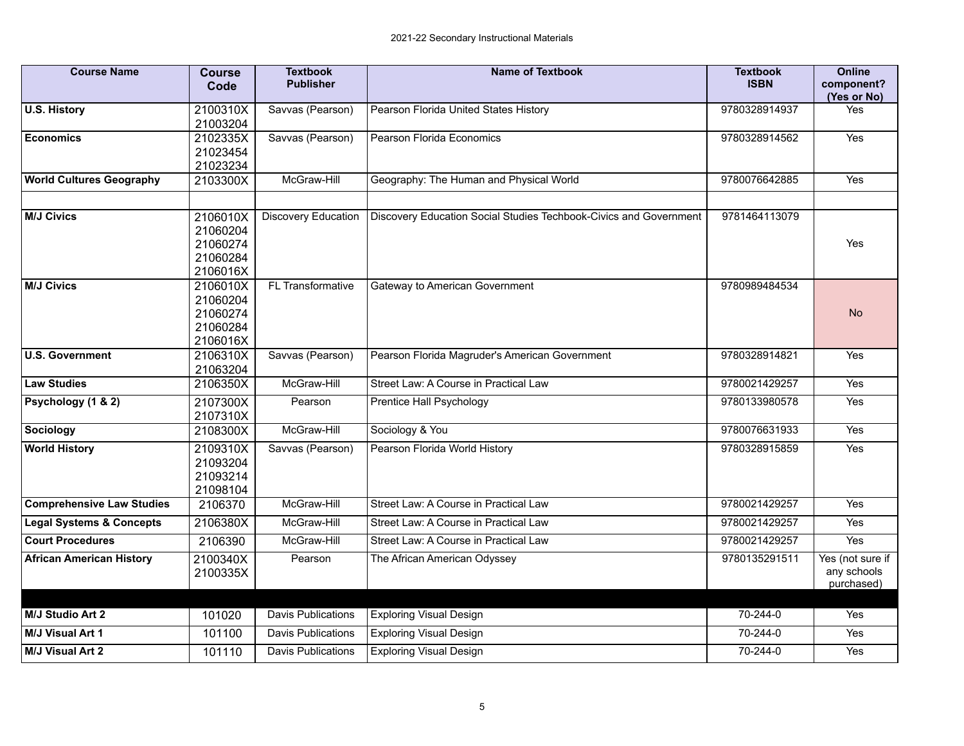| <b>Course Name</b>                  | <b>Course</b><br>Code                                    | <b>Textbook</b><br><b>Publisher</b> | <b>Name of Textbook</b>                                           | <b>Textbook</b><br><b>ISBN</b> | <b>Online</b><br>component?<br>(Yes or No)    |
|-------------------------------------|----------------------------------------------------------|-------------------------------------|-------------------------------------------------------------------|--------------------------------|-----------------------------------------------|
| <b>U.S. History</b>                 | 2100310X<br>21003204                                     | Savvas (Pearson)                    | Pearson Florida United States History                             | 9780328914937                  | Yes                                           |
| <b>Economics</b>                    | 2102335X<br>21023454<br>21023234                         | Savvas (Pearson)                    | Pearson Florida Economics                                         | 9780328914562                  | Yes                                           |
| <b>World Cultures Geography</b>     | 2103300X                                                 | McGraw-Hill                         | Geography: The Human and Physical World                           | 9780076642885                  | Yes                                           |
| <b>M/J Civics</b>                   | 2106010X<br>21060204<br>21060274<br>21060284<br>2106016X | <b>Discovery Education</b>          | Discovery Education Social Studies Techbook-Civics and Government | 9781464113079                  | Yes                                           |
| <b>M/J Civics</b>                   | 2106010X<br>21060204<br>21060274<br>21060284<br>2106016X | FL Transformative                   | Gateway to American Government                                    | 9780989484534                  | <b>No</b>                                     |
| <b>U.S. Government</b>              | 2106310X<br>21063204                                     | Savvas (Pearson)                    | Pearson Florida Magruder's American Government                    | 9780328914821                  | Yes                                           |
| <b>Law Studies</b>                  | 2106350X                                                 | McGraw-Hill                         | Street Law: A Course in Practical Law                             | 9780021429257                  | Yes                                           |
| Psychology (1 & 2)                  | 2107300X<br>2107310X                                     | Pearson                             | Prentice Hall Psychology                                          | 9780133980578                  | Yes                                           |
| Sociology                           | 2108300X                                                 | McGraw-Hill                         | Sociology & You                                                   | 9780076631933                  | Yes                                           |
| <b>World History</b>                | 2109310X<br>21093204<br>21093214<br>21098104             | Savvas (Pearson)                    | Pearson Florida World History                                     | 9780328915859                  | Yes                                           |
| <b>Comprehensive Law Studies</b>    | 2106370                                                  | McGraw-Hill                         | Street Law: A Course in Practical Law                             | 9780021429257                  | Yes                                           |
| <b>Legal Systems &amp; Concepts</b> | 2106380X                                                 | McGraw-Hill                         | Street Law: A Course in Practical Law                             | 9780021429257                  | Yes                                           |
| <b>Court Procedures</b>             | 2106390                                                  | McGraw-Hill                         | Street Law: A Course in Practical Law                             | 9780021429257                  | Yes                                           |
| <b>African American History</b>     | 2100340X<br>2100335X                                     | Pearson                             | The African American Odyssey                                      | 9780135291511                  | Yes (not sure if<br>any schools<br>purchased) |
| M/J Studio Art 2                    | 101020                                                   | <b>Davis Publications</b>           | <b>Exploring Visual Design</b>                                    | 70-244-0                       | Yes                                           |
| M/J Visual Art 1                    | 101100                                                   | <b>Davis Publications</b>           | <b>Exploring Visual Design</b>                                    | 70-244-0                       | Yes                                           |
| <b>M/J Visual Art 2</b>             | 101110                                                   | Davis Publications                  | <b>Exploring Visual Design</b>                                    | 70-244-0                       | Yes                                           |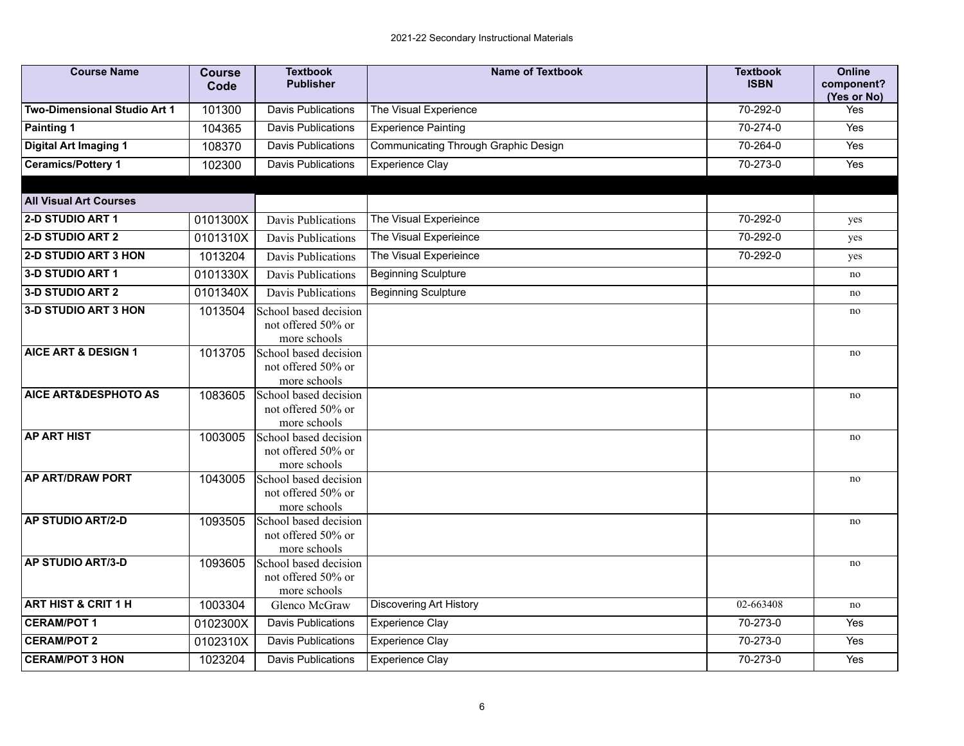| <b>Course Name</b>              | <b>Course</b><br>Code | <b>Textbook</b><br><b>Publisher</b>                         | <b>Name of Textbook</b>              | <b>Textbook</b><br><b>ISBN</b> | <b>Online</b><br>component?<br>(Yes or No) |
|---------------------------------|-----------------------|-------------------------------------------------------------|--------------------------------------|--------------------------------|--------------------------------------------|
| Two-Dimensional Studio Art 1    | 101300                | <b>Davis Publications</b>                                   | The Visual Experience                | $70 - 292 - 0$                 | Yes                                        |
| <b>Painting 1</b>               | 104365                | Davis Publications                                          | <b>Experience Painting</b>           | 70-274-0                       | Yes                                        |
| <b>Digital Art Imaging 1</b>    | 108370                | <b>Davis Publications</b>                                   | Communicating Through Graphic Design | 70-264-0                       | Yes                                        |
| <b>Ceramics/Pottery 1</b>       | 102300                | <b>Davis Publications</b>                                   | <b>Experience Clay</b>               | 70-273-0                       | Yes                                        |
| <b>All Visual Art Courses</b>   |                       |                                                             |                                      |                                |                                            |
| 2-D STUDIO ART 1                | 0101300X              | Davis Publications                                          | The Visual Experieince               | $70 - 292 - 0$                 | yes                                        |
| 2-D STUDIO ART 2                | 0101310X              | Davis Publications                                          | The Visual Experieince               | 70-292-0                       | yes                                        |
| <b>2-D STUDIO ART 3 HON</b>     | 1013204               | Davis Publications                                          | The Visual Experieince               | 70-292-0                       | yes                                        |
| 3-D STUDIO ART 1                | 0101330X              | Davis Publications                                          | <b>Beginning Sculpture</b>           |                                | no                                         |
| 3-D STUDIO ART 2                | 0101340X              | Davis Publications                                          | <b>Beginning Sculpture</b>           |                                | no                                         |
| 3-D STUDIO ART 3 HON            | 1013504               | School based decision<br>not offered 50% or<br>more schools |                                      |                                | no                                         |
| <b>AICE ART &amp; DESIGN 1</b>  | 1013705               | School based decision<br>not offered 50% or<br>more schools |                                      |                                | no                                         |
| <b>AICE ART&amp;DESPHOTO AS</b> | 1083605               | School based decision<br>not offered 50% or<br>more schools |                                      |                                | no                                         |
| <b>AP ART HIST</b>              | 1003005               | School based decision<br>not offered 50% or<br>more schools |                                      |                                | no                                         |
| <b>AP ART/DRAW PORT</b>         | 1043005               | School based decision<br>not offered 50% or<br>more schools |                                      |                                | no                                         |
| <b>AP STUDIO ART/2-D</b>        | 1093505               | School based decision<br>not offered 50% or<br>more schools |                                      |                                | no                                         |
| <b>AP STUDIO ART/3-D</b>        | 1093605               | School based decision<br>not offered 50% or<br>more schools |                                      |                                | no                                         |
| <b>ART HIST &amp; CRIT 1 H</b>  | 1003304               | Glenco McGraw                                               | <b>Discovering Art History</b>       | 02-663408                      | no                                         |
| <b>CERAM/POT 1</b>              | 0102300X              | <b>Davis Publications</b>                                   | <b>Experience Clay</b>               | 70-273-0                       | Yes                                        |
| <b>CERAM/POT 2</b>              | 0102310X              | <b>Davis Publications</b>                                   | <b>Experience Clay</b>               | 70-273-0                       | Yes                                        |
| <b>CERAM/POT 3 HON</b>          | 1023204               | <b>Davis Publications</b>                                   | Experience Clay                      | 70-273-0                       | Yes                                        |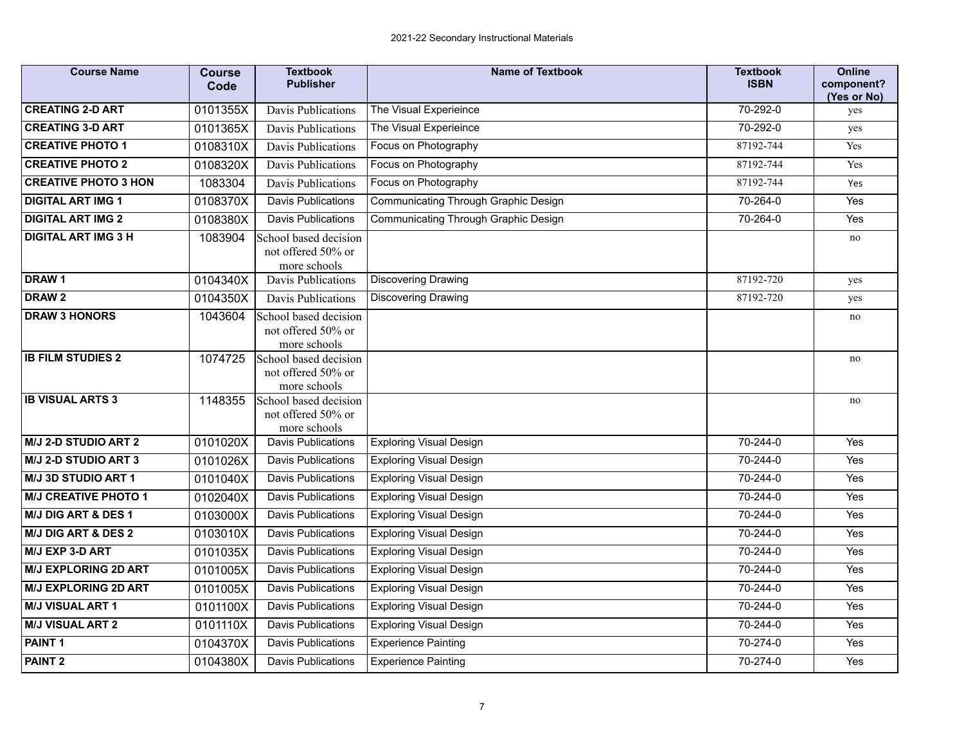| <b>Course Name</b>             | <b>Course</b><br>Code | <b>Textbook</b><br><b>Publisher</b>                         | <b>Name of Textbook</b>                     | <b>Textbook</b><br><b>ISBN</b> | <b>Online</b><br>component?<br>(Yes or No) |
|--------------------------------|-----------------------|-------------------------------------------------------------|---------------------------------------------|--------------------------------|--------------------------------------------|
| <b>CREATING 2-D ART</b>        | 0101355X              | Davis Publications                                          | The Visual Experieince                      | 70-292-0                       | yes                                        |
| <b>CREATING 3-D ART</b>        | 0101365X              | Davis Publications                                          | The Visual Experieince                      | 70-292-0                       | yes                                        |
| <b>CREATIVE PHOTO 1</b>        | 0108310X              | Davis Publications                                          | Focus on Photography                        | 87192-744                      | Yes                                        |
| <b>CREATIVE PHOTO 2</b>        | 0108320X              | Davis Publications                                          | Focus on Photography                        | 87192-744                      | Yes                                        |
| <b>CREATIVE PHOTO 3 HON</b>    | 1083304               | Davis Publications                                          | Focus on Photography                        | 87192-744                      | Yes                                        |
| <b>DIGITAL ART IMG 1</b>       | 0108370X              | <b>Davis Publications</b>                                   | <b>Communicating Through Graphic Design</b> | 70-264-0                       | Yes                                        |
| <b>DIGITAL ART IMG 2</b>       | 0108380X              | <b>Davis Publications</b>                                   | Communicating Through Graphic Design        | 70-264-0                       | Yes                                        |
| <b>DIGITAL ART IMG 3 H</b>     | 1083904               | School based decision<br>not offered 50% or<br>more schools |                                             |                                | no                                         |
| DRAW1                          | 0104340X              | Davis Publications                                          | <b>Discovering Drawing</b>                  | 87192-720                      | yes                                        |
| DRAW <sub>2</sub>              | 0104350X              | Davis Publications                                          | Discovering Drawing                         | 87192-720                      | yes                                        |
| <b>DRAW 3 HONORS</b>           | 1043604               | School based decision<br>not offered 50% or<br>more schools |                                             |                                | no                                         |
| <b>IB FILM STUDIES 2</b>       | 1074725               | School based decision<br>not offered 50% or<br>more schools |                                             |                                | no                                         |
| <b>IB VISUAL ARTS 3</b>        | 1148355               | School based decision<br>not offered 50% or<br>more schools |                                             |                                | no                                         |
| <b>M/J 2-D STUDIO ART 2</b>    | 0101020X              | <b>Davis Publications</b>                                   | <b>Exploring Visual Design</b>              | 70-244-0                       | Yes                                        |
| M/J 2-D STUDIO ART 3           | 0101026X              | <b>Davis Publications</b>                                   | <b>Exploring Visual Design</b>              | 70-244-0                       | Yes                                        |
| M/J 3D STUDIO ART 1            | 0101040X              | Davis Publications                                          | <b>Exploring Visual Design</b>              | 70-244-0                       | Yes                                        |
| <b>M/J CREATIVE PHOTO 1</b>    | 0102040X              | <b>Davis Publications</b>                                   | <b>Exploring Visual Design</b>              | 70-244-0                       | Yes                                        |
| <b>M/J DIG ART &amp; DES 1</b> | 0103000X              | <b>Davis Publications</b>                                   | <b>Exploring Visual Design</b>              | 70-244-0                       | Yes                                        |
| <b>M/J DIG ART &amp; DES 2</b> | 0103010X              | <b>Davis Publications</b>                                   | <b>Exploring Visual Design</b>              | 70-244-0                       | Yes                                        |
| M/J EXP 3-D ART                | 0101035X              | Davis Publications                                          | <b>Exploring Visual Design</b>              | 70-244-0                       | Yes                                        |
| <b>M/J EXPLORING 2D ART</b>    | 0101005X              | <b>Davis Publications</b>                                   | <b>Exploring Visual Design</b>              | 70-244-0                       | Yes                                        |
| <b>M/J EXPLORING 2D ART</b>    | 0101005X              | <b>Davis Publications</b>                                   | <b>Exploring Visual Design</b>              | 70-244-0                       | Yes                                        |
| <b>M/J VISUAL ART 1</b>        | 0101100X              | <b>Davis Publications</b>                                   | <b>Exploring Visual Design</b>              | 70-244-0                       | Yes                                        |
| <b>M/J VISUAL ART 2</b>        | 0101110X              | Davis Publications                                          | <b>Exploring Visual Design</b>              | 70-244-0                       | Yes                                        |
| PAINT <sub>1</sub>             | 0104370X              | <b>Davis Publications</b>                                   | <b>Experience Painting</b>                  | 70-274-0                       | Yes                                        |
| <b>PAINT 2</b>                 | 0104380X              | Davis Publications                                          | <b>Experience Painting</b>                  | 70-274-0                       | Yes                                        |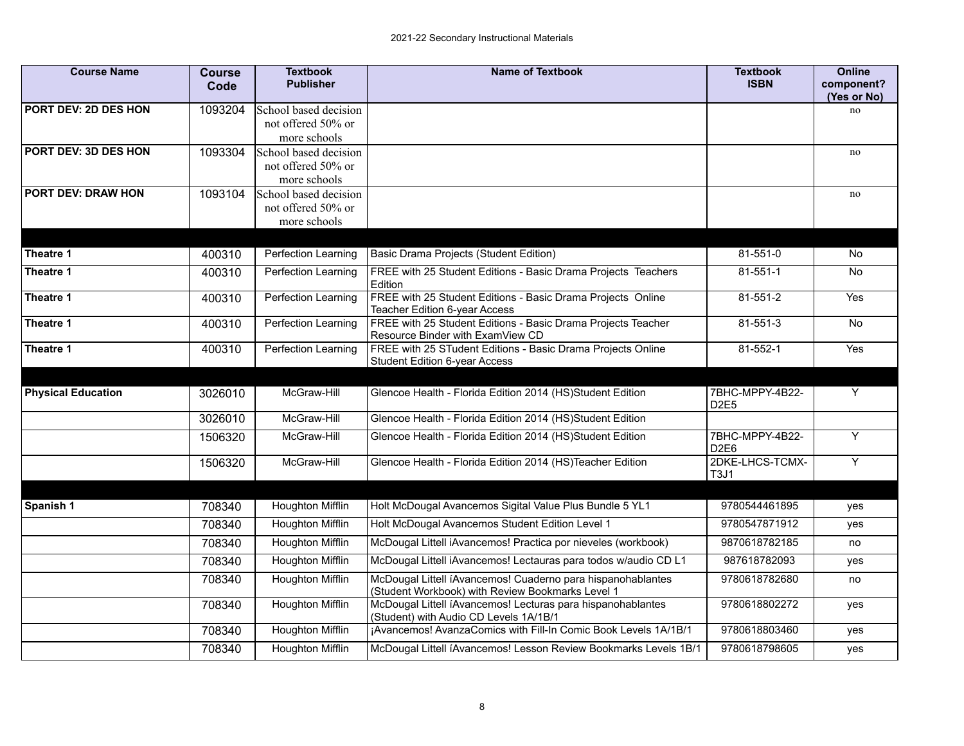| <b>Course Name</b>                                                                                                                                                                                                                                                                                                                                                                                                                                                                                                                                                                                                                                                                    | <b>Course</b><br>Code                                     | <b>Textbook</b><br><b>Publisher</b> | <b>Name of Textbook</b>                                                                                         | <b>Textbook</b><br><b>ISBN</b>      | <b>Online</b><br>component? |
|---------------------------------------------------------------------------------------------------------------------------------------------------------------------------------------------------------------------------------------------------------------------------------------------------------------------------------------------------------------------------------------------------------------------------------------------------------------------------------------------------------------------------------------------------------------------------------------------------------------------------------------------------------------------------------------|-----------------------------------------------------------|-------------------------------------|-----------------------------------------------------------------------------------------------------------------|-------------------------------------|-----------------------------|
|                                                                                                                                                                                                                                                                                                                                                                                                                                                                                                                                                                                                                                                                                       |                                                           |                                     |                                                                                                                 |                                     | (Yes or No)                 |
|                                                                                                                                                                                                                                                                                                                                                                                                                                                                                                                                                                                                                                                                                       |                                                           |                                     |                                                                                                                 |                                     | no                          |
|                                                                                                                                                                                                                                                                                                                                                                                                                                                                                                                                                                                                                                                                                       |                                                           |                                     |                                                                                                                 |                                     |                             |
|                                                                                                                                                                                                                                                                                                                                                                                                                                                                                                                                                                                                                                                                                       |                                                           |                                     |                                                                                                                 |                                     |                             |
|                                                                                                                                                                                                                                                                                                                                                                                                                                                                                                                                                                                                                                                                                       |                                                           |                                     |                                                                                                                 |                                     | no                          |
|                                                                                                                                                                                                                                                                                                                                                                                                                                                                                                                                                                                                                                                                                       |                                                           |                                     |                                                                                                                 |                                     |                             |
|                                                                                                                                                                                                                                                                                                                                                                                                                                                                                                                                                                                                                                                                                       |                                                           |                                     |                                                                                                                 |                                     | $\rm{no}$                   |
|                                                                                                                                                                                                                                                                                                                                                                                                                                                                                                                                                                                                                                                                                       |                                                           | not offered 50% or                  |                                                                                                                 |                                     |                             |
|                                                                                                                                                                                                                                                                                                                                                                                                                                                                                                                                                                                                                                                                                       |                                                           | more schools                        |                                                                                                                 |                                     |                             |
|                                                                                                                                                                                                                                                                                                                                                                                                                                                                                                                                                                                                                                                                                       |                                                           |                                     |                                                                                                                 |                                     |                             |
|                                                                                                                                                                                                                                                                                                                                                                                                                                                                                                                                                                                                                                                                                       | 400310                                                    | Perfection Learning                 | <b>Basic Drama Projects (Student Edition)</b>                                                                   | 81-551-0                            | <b>No</b>                   |
| Theatre 1                                                                                                                                                                                                                                                                                                                                                                                                                                                                                                                                                                                                                                                                             | 400310                                                    | Perfection Learning                 | FREE with 25 Student Editions - Basic Drama Projects Teachers<br>Edition                                        | 81-551-1                            | No                          |
|                                                                                                                                                                                                                                                                                                                                                                                                                                                                                                                                                                                                                                                                                       | 400310                                                    | <b>Perfection Learning</b>          | FREE with 25 Student Editions - Basic Drama Projects Online<br>Teacher Edition 6-year Access                    | $81 - 551 - 2$                      | Yes                         |
|                                                                                                                                                                                                                                                                                                                                                                                                                                                                                                                                                                                                                                                                                       | 400310                                                    | Perfection Learning                 | FREE with 25 Student Editions - Basic Drama Projects Teacher<br>Resource Binder with ExamView CD                | $81 - 551 - 3$                      | No                          |
|                                                                                                                                                                                                                                                                                                                                                                                                                                                                                                                                                                                                                                                                                       | 400310                                                    | Perfection Learning                 | FREE with 25 STudent Editions - Basic Drama Projects Online<br>Student Edition 6-year Access                    | $81 - 552 - 1$                      | Yes                         |
|                                                                                                                                                                                                                                                                                                                                                                                                                                                                                                                                                                                                                                                                                       |                                                           |                                     |                                                                                                                 |                                     |                             |
| <b>Physical Education</b>                                                                                                                                                                                                                                                                                                                                                                                                                                                                                                                                                                                                                                                             | 3026010                                                   | McGraw-Hill                         | Glencoe Health - Florida Edition 2014 (HS)Student Edition                                                       | 7BHC-MPPY-4B22-<br>D <sub>2E5</sub> | Y                           |
| PORT DEV: 2D DES HON<br>1093204<br>School based decision<br>not offered 50% or<br>more schools<br>PORT DEV: 3D DES HON<br>1093304<br>School based decision<br>not offered 50% or<br>more schools<br>PORT DEV: DRAW HON<br>1093104<br>School based decision<br>Theatre 1<br>Theatre 1<br>Theatre 1<br>Theatre 1<br>3026010<br>McGraw-Hill<br>McGraw-Hill<br>1506320<br>1506320<br>McGraw-Hill<br>708340<br><b>Houghton Mifflin</b><br>Spanish 1<br>708340<br><b>Houghton Mifflin</b><br>708340<br>Houghton Mifflin<br>708340<br>Houghton Mifflin<br>708340<br>Houghton Mifflin<br><b>Houghton Mifflin</b><br>708340<br>708340<br>Houghton Mifflin<br>708340<br><b>Houghton Mifflin</b> | Glencoe Health - Florida Edition 2014 (HS)Student Edition |                                     |                                                                                                                 |                                     |                             |
|                                                                                                                                                                                                                                                                                                                                                                                                                                                                                                                                                                                                                                                                                       |                                                           |                                     | Glencoe Health - Florida Edition 2014 (HS)Student Edition                                                       | 7BHC-MPPY-4B22-<br>D <sub>2E6</sub> | Y                           |
|                                                                                                                                                                                                                                                                                                                                                                                                                                                                                                                                                                                                                                                                                       |                                                           |                                     | Glencoe Health - Florida Edition 2014 (HS)Teacher Edition                                                       | 2DKE-LHCS-TCMX-<br><b>T3J1</b>      | Y                           |
|                                                                                                                                                                                                                                                                                                                                                                                                                                                                                                                                                                                                                                                                                       |                                                           |                                     |                                                                                                                 |                                     |                             |
|                                                                                                                                                                                                                                                                                                                                                                                                                                                                                                                                                                                                                                                                                       |                                                           |                                     | Holt McDougal Avancemos Sigital Value Plus Bundle 5 YL1                                                         | 9780544461895                       | yes                         |
|                                                                                                                                                                                                                                                                                                                                                                                                                                                                                                                                                                                                                                                                                       |                                                           |                                     | Holt McDougal Avancemos Student Edition Level 1                                                                 | 9780547871912                       | yes                         |
|                                                                                                                                                                                                                                                                                                                                                                                                                                                                                                                                                                                                                                                                                       |                                                           |                                     | McDougal Littell iAvancemos! Practica por nieveles (workbook)                                                   | 9870618782185                       | no                          |
|                                                                                                                                                                                                                                                                                                                                                                                                                                                                                                                                                                                                                                                                                       |                                                           |                                     | McDougal Littell iAvancemos! Lectauras para todos w/audio CD L1                                                 | 987618782093                        | yes                         |
|                                                                                                                                                                                                                                                                                                                                                                                                                                                                                                                                                                                                                                                                                       |                                                           |                                     | McDougal Littell íAvancemos! Cuaderno para hispanohablantes<br>(Student Workbook) with Review Bookmarks Level 1 | 9780618782680                       | no                          |
|                                                                                                                                                                                                                                                                                                                                                                                                                                                                                                                                                                                                                                                                                       |                                                           |                                     | McDougal Littell íAvancemos! Lecturas para hispanohablantes<br>(Student) with Audio CD Levels 1A/1B/1           | 9780618802272                       | yes                         |
|                                                                                                                                                                                                                                                                                                                                                                                                                                                                                                                                                                                                                                                                                       |                                                           |                                     | ¡Avancemos! AvanzaComics with Fill-In Comic Book Levels 1A/1B/1                                                 | 9780618803460                       | yes                         |
|                                                                                                                                                                                                                                                                                                                                                                                                                                                                                                                                                                                                                                                                                       |                                                           |                                     | McDougal Littell íAvancemos! Lesson Review Bookmarks Levels 1B/1                                                | 9780618798605                       | yes                         |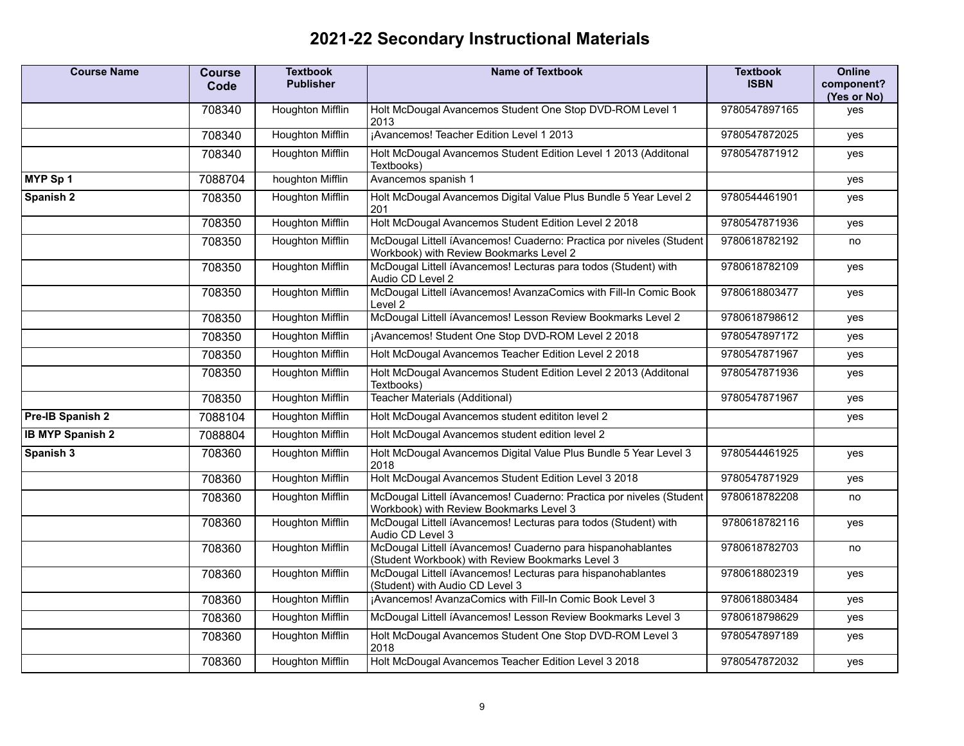## **2021-22 Secondary Instructional Materials**

| <b>Course Name</b>      | <b>Course</b><br>Code | <b>Textbook</b><br><b>Publisher</b> | Name of Textbook                                                                                                | <b>Textbook</b><br><b>ISBN</b> | <b>Online</b><br>component?<br>(Yes or No) |
|-------------------------|-----------------------|-------------------------------------|-----------------------------------------------------------------------------------------------------------------|--------------------------------|--------------------------------------------|
|                         | 708340                | <b>Houghton Mifflin</b>             | Holt McDougal Avancemos Student One Stop DVD-ROM Level 1<br>2013                                                | 9780547897165                  | ves                                        |
|                         | 708340                | <b>Houghton Mifflin</b>             | ¡Avancemos! Teacher Edition Level 1 2013                                                                        | 9780547872025                  | yes                                        |
|                         | 708340                | Houghton Mifflin                    | Holt McDougal Avancemos Student Edition Level 1 2013 (Additonal<br>Textbooks)                                   | 9780547871912                  | yes                                        |
| MYP Sp 1                | 7088704               | houghton Mifflin                    | Avancemos spanish 1                                                                                             |                                | yes                                        |
| Spanish 2               | 708350                | <b>Houghton Mifflin</b>             | Holt McDougal Avancemos Digital Value Plus Bundle 5 Year Level 2<br>201                                         | 9780544461901                  | yes                                        |
|                         | 708350                | <b>Houghton Mifflin</b>             | Holt McDougal Avancemos Student Edition Level 2 2018                                                            | 9780547871936                  | yes                                        |
|                         | 708350                | <b>Houghton Mifflin</b>             | McDougal Littell íAvancemos! Cuaderno: Practica por niveles (Student<br>Workbook) with Review Bookmarks Level 2 | 9780618782192                  | no                                         |
|                         | 708350                | <b>Houghton Mifflin</b>             | McDougal Littell íAvancemos! Lecturas para todos (Student) with<br>Audio CD Level 2                             | 9780618782109                  | yes                                        |
|                         | 708350                | <b>Houghton Mifflin</b>             | McDougal Littell íAvancemos! AvanzaComics with Fill-In Comic Book<br>Level 2                                    | 9780618803477                  | yes                                        |
|                         | 708350                | <b>Houghton Mifflin</b>             | McDougal Littell íAvancemos! Lesson Review Bookmarks Level 2                                                    | 9780618798612                  | yes                                        |
|                         | 708350                | Houghton Mifflin                    | ¡Avancemos! Student One Stop DVD-ROM Level 2 2018                                                               | 9780547897172                  | yes                                        |
|                         | 708350                | <b>Houghton Mifflin</b>             | Holt McDougal Avancemos Teacher Edition Level 2 2018                                                            | 9780547871967                  | yes                                        |
|                         | 708350                | <b>Houghton Mifflin</b>             | Holt McDougal Avancemos Student Edition Level 2 2013 (Additonal<br>Textbooks)                                   | 9780547871936                  | yes                                        |
|                         | 708350                | <b>Houghton Mifflin</b>             | <b>Teacher Materials (Additional)</b>                                                                           | 9780547871967                  | yes                                        |
| Pre-IB Spanish 2        | 7088104               | Houghton Mifflin                    | Holt McDougal Avancemos student edititon level 2                                                                |                                | yes                                        |
| <b>IB MYP Spanish 2</b> | 7088804               | <b>Houghton Mifflin</b>             | Holt McDougal Avancemos student edition level 2                                                                 |                                |                                            |
| Spanish 3               | 708360                | Houghton Mifflin                    | Holt McDougal Avancemos Digital Value Plus Bundle 5 Year Level 3<br>2018                                        | 9780544461925                  | yes                                        |
|                         | 708360                | <b>Houghton Mifflin</b>             | Holt McDougal Avancemos Student Edition Level 3 2018                                                            | 9780547871929                  | yes                                        |
|                         | 708360                | Houghton Mifflin                    | McDougal Littell íAvancemos! Cuaderno: Practica por niveles (Student<br>Workbook) with Review Bookmarks Level 3 | 9780618782208                  | no                                         |
|                         | 708360                | <b>Houghton Mifflin</b>             | McDougal Littell íAvancemos! Lecturas para todos (Student) with<br>Audio CD Level 3                             | 9780618782116                  | yes                                        |
|                         | 708360                | <b>Houghton Mifflin</b>             | McDougal Littell íAvancemos! Cuaderno para hispanohablantes<br>(Student Workbook) with Review Bookmarks Level 3 | 9780618782703                  | no                                         |
|                         | 708360                | <b>Houghton Mifflin</b>             | McDougal Littell íAvancemos! Lecturas para hispanohablantes<br>(Student) with Audio CD Level 3                  | 9780618802319                  | yes                                        |
|                         | 708360                | <b>Houghton Mifflin</b>             | ¡Avancemos! AvanzaComics with Fill-In Comic Book Level 3                                                        | 9780618803484                  | yes                                        |
|                         | 708360                | <b>Houghton Mifflin</b>             | McDougal Littell íAvancemos! Lesson Review Bookmarks Level 3                                                    | 9780618798629                  | yes                                        |
|                         | 708360                | Houghton Mifflin                    | Holt McDougal Avancemos Student One Stop DVD-ROM Level 3<br>2018                                                | 9780547897189                  | yes                                        |
|                         | 708360                | <b>Houghton Mifflin</b>             | Holt McDougal Avancemos Teacher Edition Level 3 2018                                                            | 9780547872032                  | yes                                        |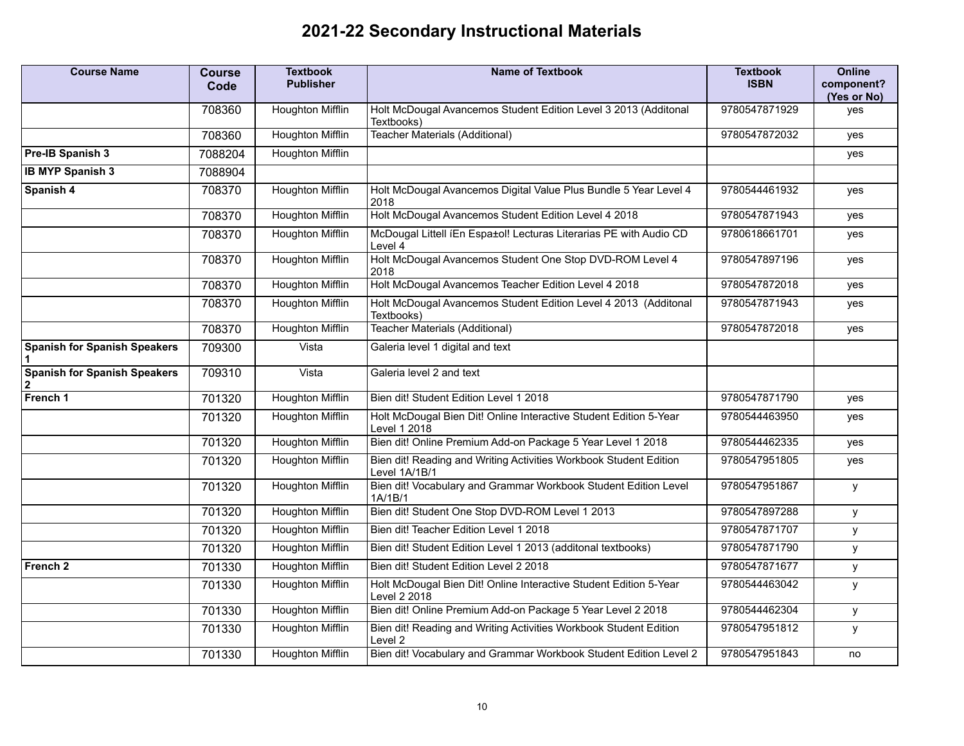## **2021-22 Secondary Instructional Materials**

| <b>Course Name</b>                                  | <b>Course</b><br>Code | <b>Textbook</b><br><b>Publisher</b> | <b>Name of Textbook</b>                                                            | <b>Textbook</b><br><b>ISBN</b> | <b>Online</b><br>component?<br>(Yes or No) |
|-----------------------------------------------------|-----------------------|-------------------------------------|------------------------------------------------------------------------------------|--------------------------------|--------------------------------------------|
|                                                     | 708360                | Houghton Mifflin                    | Holt McDougal Avancemos Student Edition Level 3 2013 (Additonal<br>Textbooks)      | 9780547871929                  | yes                                        |
|                                                     | 708360                | <b>Houghton Mifflin</b>             | <b>Teacher Materials (Additional)</b>                                              | 9780547872032                  | yes                                        |
| Pre-IB Spanish 3                                    | 7088204               | <b>Houghton Mifflin</b>             |                                                                                    |                                | yes                                        |
| <b>IB MYP Spanish 3</b>                             | 7088904               |                                     |                                                                                    |                                |                                            |
| Spanish 4                                           | 708370                | <b>Houghton Mifflin</b>             | Holt McDougal Avancemos Digital Value Plus Bundle 5 Year Level 4<br>2018           | 9780544461932                  | yes                                        |
|                                                     | 708370                | <b>Houghton Mifflin</b>             | Holt McDougal Avancemos Student Edition Level 4 2018                               | 9780547871943                  | yes                                        |
|                                                     | 708370                | <b>Houghton Mifflin</b>             | McDougal Littell (En Espa±ol! Lecturas Literarias PE with Audio CD<br>Level 4      | 9780618661701                  | yes                                        |
|                                                     | 708370                | <b>Houghton Mifflin</b>             | Holt McDougal Avancemos Student One Stop DVD-ROM Level 4<br>2018                   | 9780547897196                  | yes                                        |
|                                                     | 708370                | Houghton Mifflin                    | Holt McDougal Avancemos Teacher Edition Level 4 2018                               | 9780547872018                  | yes                                        |
|                                                     | 708370                | <b>Houghton Mifflin</b>             | Holt McDougal Avancemos Student Edition Level 4 2013 (Additonal<br>Textbooks)      | 9780547871943                  | yes                                        |
|                                                     | 708370                | <b>Houghton Mifflin</b>             | <b>Teacher Materials (Additional)</b>                                              | 9780547872018                  | yes                                        |
| <b>Spanish for Spanish Speakers</b>                 | 709300                | Vista                               | Galeria level 1 digital and text                                                   |                                |                                            |
| <b>Spanish for Spanish Speakers</b><br>$\mathbf{2}$ | 709310                | Vista                               | Galeria level 2 and text                                                           |                                |                                            |
| French 1                                            | 701320                | <b>Houghton Mifflin</b>             | Bien dit! Student Edition Level 1 2018                                             | 9780547871790                  | yes                                        |
|                                                     | 701320                | <b>Houghton Mifflin</b>             | Holt McDougal Bien Dit! Online Interactive Student Edition 5-Year<br>Level 1 2018  | 9780544463950                  | yes                                        |
|                                                     | 701320                | <b>Houghton Mifflin</b>             | Bien dit! Online Premium Add-on Package 5 Year Level 1 2018                        | 9780544462335                  | yes                                        |
|                                                     | 701320                | <b>Houghton Mifflin</b>             | Bien dit! Reading and Writing Activities Workbook Student Edition<br>Level 1A/1B/1 | 9780547951805                  | yes                                        |
|                                                     | 701320                | Houghton Mifflin                    | Bien dit! Vocabulary and Grammar Workbook Student Edition Level<br>1A/1B/1         | 9780547951867                  | y                                          |
|                                                     | 701320                | <b>Houghton Mifflin</b>             | Bien dit! Student One Stop DVD-ROM Level 1 2013                                    | 9780547897288                  | y                                          |
|                                                     | 701320                | <b>Houghton Mifflin</b>             | Bien dit! Teacher Edition Level 1 2018                                             | 9780547871707                  | у                                          |
|                                                     | 701320                | <b>Houghton Mifflin</b>             | Bien dit! Student Edition Level 1 2013 (additonal textbooks)                       | 9780547871790                  | у                                          |
| French <sub>2</sub>                                 | 701330                | Houghton Mifflin                    | Bien dit! Student Edition Level 2 2018                                             | 9780547871677                  | y                                          |
|                                                     | 701330                | Houghton Mifflin                    | Holt McDougal Bien Dit! Online Interactive Student Edition 5-Year<br>Level 2 2018  | 9780544463042                  | y                                          |
|                                                     | 701330                | <b>Houghton Mifflin</b>             | Bien dit! Online Premium Add-on Package 5 Year Level 2 2018                        | 9780544462304                  | у                                          |
|                                                     | 701330                | Houghton Mifflin                    | Bien dit! Reading and Writing Activities Workbook Student Edition<br>Level 2       | 9780547951812                  | y                                          |
|                                                     | 701330                | <b>Houghton Mifflin</b>             | Bien dit! Vocabulary and Grammar Workbook Student Edition Level 2                  | 9780547951843                  | no                                         |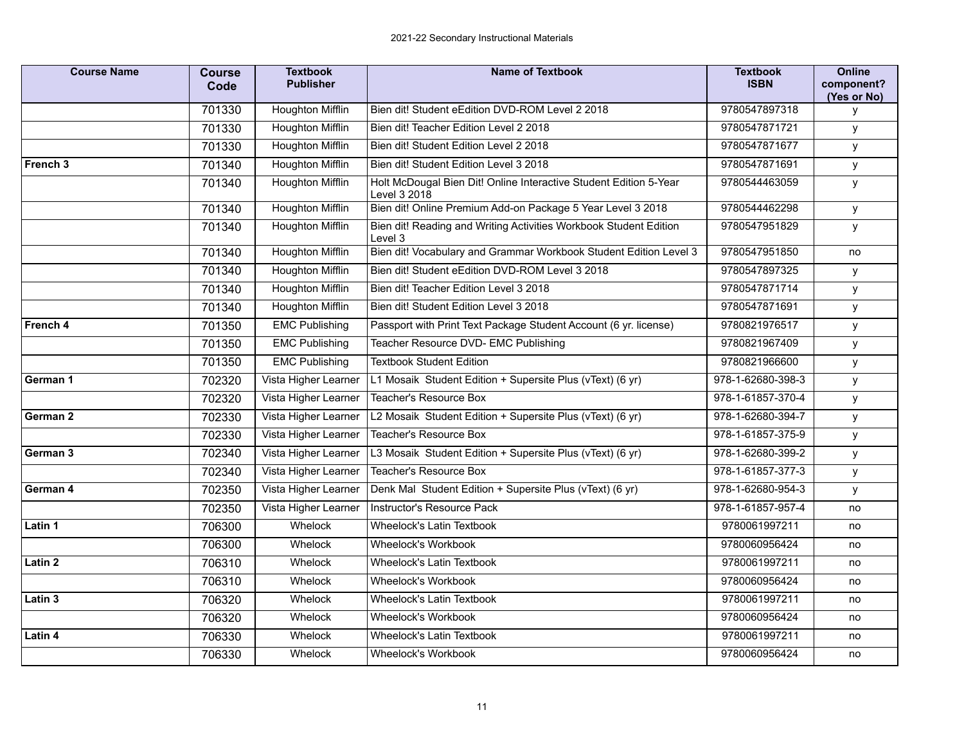| <b>Course Name</b>                     | <b>Course</b><br>Code | <b>Textbook</b><br><b>Publisher</b>  | <b>Name of Textbook</b>                                                           | <b>Textbook</b><br><b>ISBN</b> | <b>Online</b><br>component?<br>(Yes or No) |
|----------------------------------------|-----------------------|--------------------------------------|-----------------------------------------------------------------------------------|--------------------------------|--------------------------------------------|
|                                        | 701330                | Houghton Mifflin                     | Bien dit! Student eEdition DVD-ROM Level 2 2018                                   | 9780547897318                  | У                                          |
|                                        | 701330                | Houghton Mifflin                     | Bien dit! Teacher Edition Level 2 2018                                            | 9780547871721                  | у                                          |
|                                        | 701330                | Houghton Mifflin                     | Bien dit! Student Edition Level 2 2018                                            | 9780547871677                  | y                                          |
| French 3                               | 701340                | Houghton Mifflin                     | Bien dit! Student Edition Level 3 2018                                            | 9780547871691                  | y                                          |
|                                        | 701340                | Houghton Mifflin                     | Holt McDougal Bien Dit! Online Interactive Student Edition 5-Year<br>Level 3 2018 | 9780544463059                  | у                                          |
|                                        | 701340                | <b>Houghton Mifflin</b>              | Bien dit! Online Premium Add-on Package 5 Year Level 3 2018                       | 9780544462298                  | y                                          |
|                                        | 701340                | Houghton Mifflin                     | Bien dit! Reading and Writing Activities Workbook Student Edition<br>Level 3      | 9780547951829                  | y                                          |
|                                        | 701340                | <b>Houghton Mifflin</b>              | Bien dit! Vocabulary and Grammar Workbook Student Edition Level 3                 | 9780547951850                  | no                                         |
|                                        | 701340                | Houghton Mifflin                     | Bien dit! Student eEdition DVD-ROM Level 3 2018                                   | 9780547897325                  | у                                          |
|                                        | 701340                | Houghton Mifflin                     | Bien dit! Teacher Edition Level 3 2018                                            | 9780547871714                  | y                                          |
|                                        | 701340                | Houghton Mifflin                     | Bien dit! Student Edition Level 3 2018                                            | 9780547871691                  | y                                          |
| French 4<br>701350<br>701350<br>701350 |                       | <b>EMC Publishing</b>                | Passport with Print Text Package Student Account (6 yr. license)                  | 9780821976517                  | У                                          |
|                                        | <b>EMC Publishing</b> | Teacher Resource DVD- EMC Publishing | 9780821967409                                                                     | у                              |                                            |
|                                        |                       | <b>EMC Publishing</b>                | <b>Textbook Student Edition</b>                                                   | 9780821966600                  | У                                          |
| German 1                               | 702320                | Vista Higher Learner                 | L1 Mosaik Student Edition + Supersite Plus (vText) (6 yr)                         | 978-1-62680-398-3              | y                                          |
|                                        | 702320                | Vista Higher Learner                 | Teacher's Resource Box                                                            | 978-1-61857-370-4              | У                                          |
| German 2                               | 702330                | Vista Higher Learner                 | L2 Mosaik Student Edition + Supersite Plus (vText) (6 yr)                         | 978-1-62680-394-7              | у                                          |
|                                        | 702330                | Vista Higher Learner                 | Teacher's Resource Box                                                            | 978-1-61857-375-9              | y                                          |
| German 3                               | 702340                | Vista Higher Learner                 | L3 Mosaik Student Edition + Supersite Plus (vText) (6 yr)                         | 978-1-62680-399-2              | у                                          |
|                                        | 702340                | Vista Higher Learner                 | Teacher's Resource Box                                                            | 978-1-61857-377-3              | У                                          |
| German 4                               | 702350                | Vista Higher Learner                 | Denk Mal Student Edition + Supersite Plus (vText) (6 yr)                          | 978-1-62680-954-3              | у                                          |
|                                        | 702350                | Vista Higher Learner                 | Instructor's Resource Pack                                                        | 978-1-61857-957-4              | no                                         |
| Latin 1                                | 706300                | Whelock                              | Wheelock's Latin Textbook                                                         | 9780061997211                  | no                                         |
|                                        | 706300                | Whelock                              | Wheelock's Workbook                                                               | 9780060956424                  | no                                         |
| Latin 2                                | 706310                | Whelock                              | <b>Wheelock's Latin Textbook</b>                                                  | 9780061997211                  | no                                         |
|                                        | 706310                | Whelock                              | Wheelock's Workbook                                                               | 9780060956424                  | no                                         |
| Latin 3                                | 706320                | Whelock                              | Wheelock's Latin Textbook                                                         | 9780061997211                  | no                                         |
|                                        | 706320                | Whelock                              | Wheelock's Workbook                                                               | 9780060956424                  | no                                         |
| Latin 4                                | 706330                | Whelock                              | Wheelock's Latin Textbook                                                         | 9780061997211                  | no                                         |
|                                        | 706330                | Whelock                              | Wheelock's Workbook                                                               | 9780060956424                  | no                                         |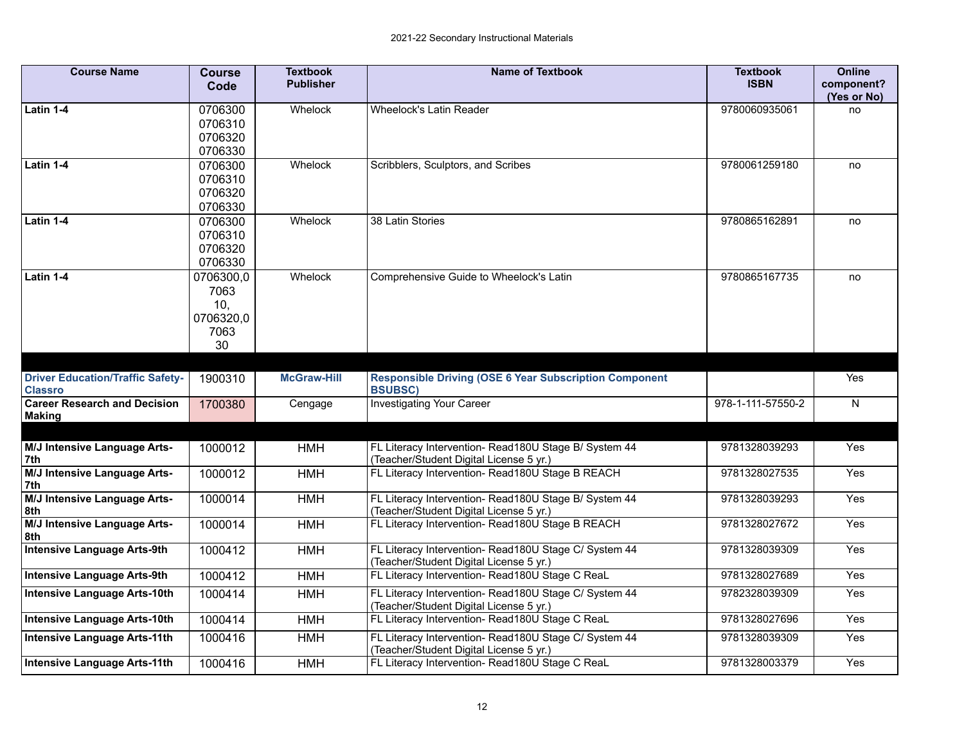| <b>Course Name</b>                                        | <b>Course</b><br>Code                               | <b>Textbook</b><br><b>Publisher</b> | <b>Name of Textbook</b>                                                                          | <b>Textbook</b><br><b>ISBN</b> | <b>Online</b><br>component?<br>(Yes or No) |
|-----------------------------------------------------------|-----------------------------------------------------|-------------------------------------|--------------------------------------------------------------------------------------------------|--------------------------------|--------------------------------------------|
| Latin 1-4                                                 | 0706300<br>0706310<br>0706320<br>0706330            | Whelock                             | Wheelock's Latin Reader                                                                          | 9780060935061                  | no                                         |
| Latin 1-4                                                 | 0706300<br>0706310<br>0706320<br>0706330            | Whelock                             | Scribblers, Sculptors, and Scribes                                                               | 9780061259180                  | no                                         |
| Latin 1-4                                                 | 0706300<br>0706310<br>0706320<br>0706330            | Whelock                             | 38 Latin Stories                                                                                 | 9780865162891                  | no                                         |
| Latin 1-4                                                 | 0706300,0<br>7063<br>10,<br>0706320,0<br>7063<br>30 | Whelock                             | Comprehensive Guide to Wheelock's Latin                                                          | 9780865167735                  | no                                         |
|                                                           |                                                     |                                     |                                                                                                  |                                |                                            |
| <b>Driver Education/Traffic Safety-</b><br><b>Classro</b> | 1900310                                             | <b>McGraw-Hill</b>                  | <b>Responsible Driving (OSE 6 Year Subscription Component</b><br><b>BSUBSC)</b>                  |                                | Yes                                        |
| <b>Career Research and Decision</b><br><b>Making</b>      | 1700380                                             | Cengage                             | <b>Investigating Your Career</b>                                                                 | 978-1-111-57550-2              | N                                          |
| M/J Intensive Language Arts-<br>7th                       | 1000012                                             | <b>HMH</b>                          | FL Literacy Intervention- Read180U Stage B/ System 44<br>(Teacher/Student Digital License 5 yr.) | 9781328039293                  | Yes                                        |
| M/J Intensive Language Arts-<br>7th                       | 1000012                                             | <b>HMH</b>                          | FL Literacy Intervention- Read180U Stage B REACH                                                 | 9781328027535                  | Yes                                        |
| <b>M/J Intensive Language Arts-</b><br>8th                | 1000014                                             | <b>HMH</b>                          | FL Literacy Intervention- Read180U Stage B/ System 44<br>(Teacher/Student Digital License 5 yr.) | 9781328039293                  | Yes                                        |
| M/J Intensive Language Arts-<br>8th                       | 1000014                                             | <b>HMH</b>                          | FL Literacy Intervention-Read180U Stage B REACH                                                  | 9781328027672                  | Yes                                        |
| <b>Intensive Language Arts-9th</b>                        | 1000412                                             | <b>HMH</b>                          | FL Literacy Intervention- Read180U Stage C/ System 44<br>(Teacher/Student Digital License 5 yr.) | 9781328039309                  | Yes                                        |
| <b>Intensive Language Arts-9th</b>                        | 1000412                                             | <b>HMH</b>                          | FL Literacy Intervention- Read180U Stage C ReaL                                                  | 9781328027689                  | Yes                                        |
| <b>Intensive Language Arts-10th</b>                       | 1000414                                             | <b>HMH</b>                          | FL Literacy Intervention- Read180U Stage C/ System 44<br>(Teacher/Student Digital License 5 yr.) | 9782328039309                  | Yes                                        |
| <b>Intensive Language Arts-10th</b>                       | 1000414                                             | <b>HMH</b>                          | FL Literacy Intervention- Read180U Stage C ReaL                                                  | 9781328027696                  | Yes                                        |
| <b>Intensive Language Arts-11th</b>                       | 1000416                                             | <b>HMH</b>                          | FL Literacy Intervention- Read180U Stage C/ System 44<br>(Teacher/Student Digital License 5 yr.) | 9781328039309                  | Yes                                        |
| <b>Intensive Language Arts-11th</b>                       | 1000416                                             | <b>HMH</b>                          | FL Literacy Intervention- Read180U Stage C ReaL                                                  | 9781328003379                  | Yes                                        |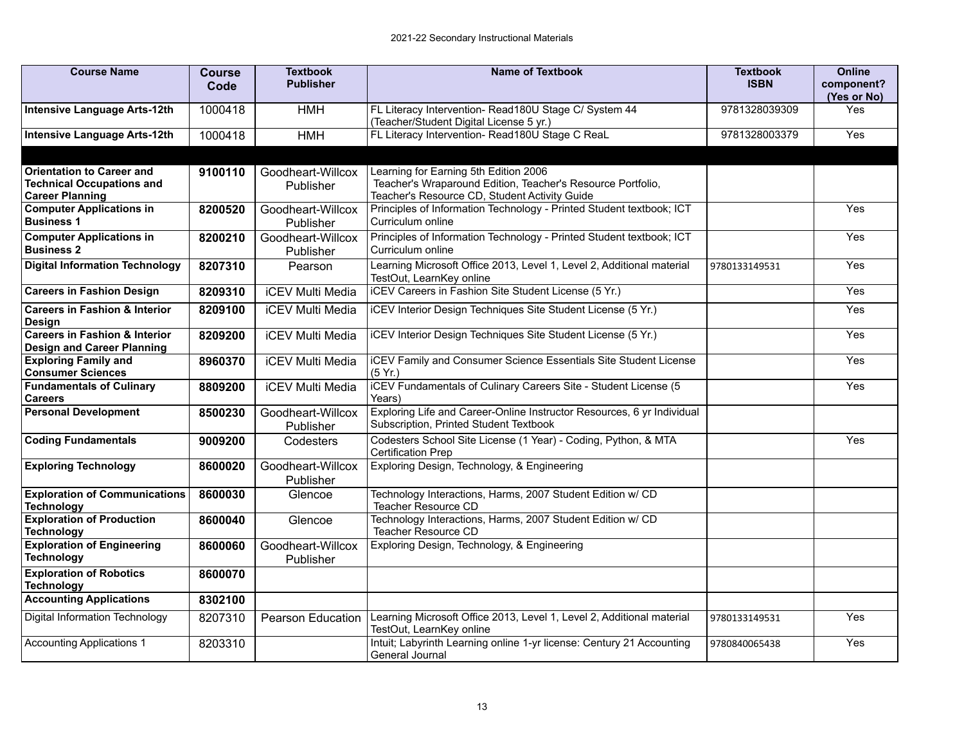| <b>Course Name</b>                                                                             | <b>Course</b><br>Code | <b>Textbook</b><br><b>Publisher</b> | <b>Name of Textbook</b>                                                                                                                               | <b>Textbook</b><br><b>ISBN</b> | <b>Online</b><br>component?<br>(Yes or No) |
|------------------------------------------------------------------------------------------------|-----------------------|-------------------------------------|-------------------------------------------------------------------------------------------------------------------------------------------------------|--------------------------------|--------------------------------------------|
| <b>Intensive Language Arts-12th</b>                                                            | 1000418               | <b>HMH</b>                          | FL Literacy Intervention- Read180U Stage C/ System 44<br>(Teacher/Student Digital License 5 yr.)                                                      | 9781328039309                  | Yes                                        |
| Intensive Language Arts-12th                                                                   | 1000418               | <b>HMH</b>                          | FL Literacy Intervention- Read180U Stage C ReaL                                                                                                       | 9781328003379                  | Yes                                        |
| <b>Orientation to Career and</b><br><b>Technical Occupations and</b><br><b>Career Planning</b> | 9100110               | Goodheart-Willcox<br>Publisher      | Learning for Earning 5th Edition 2006<br>Teacher's Wraparound Edition, Teacher's Resource Portfolio,<br>Teacher's Resource CD, Student Activity Guide |                                |                                            |
| <b>Computer Applications in</b><br><b>Business 1</b>                                           | 8200520               | Goodheart-Willcox<br>Publisher      | Principles of Information Technology - Printed Student textbook; ICT<br>Curriculum online                                                             |                                | Yes                                        |
| <b>Computer Applications in</b><br><b>Business 2</b>                                           | 8200210               | Goodheart-Willcox<br>Publisher      | Principles of Information Technology - Printed Student textbook; ICT<br>Curriculum online                                                             |                                | Yes                                        |
| <b>Digital Information Technology</b>                                                          | 8207310               | Pearson                             | Learning Microsoft Office 2013, Level 1, Level 2, Additional material<br>TestOut, LearnKey online                                                     | 9780133149531                  | Yes                                        |
| <b>Careers in Fashion Design</b>                                                               | 8209310               | <b>iCEV Multi Media</b>             | iCEV Careers in Fashion Site Student License (5 Yr.)                                                                                                  |                                | Yes                                        |
| <b>Careers in Fashion &amp; Interior</b><br>Design                                             | 8209100               | <b>iCEV Multi Media</b>             | iCEV Interior Design Techniques Site Student License (5 Yr.)                                                                                          |                                | Yes                                        |
| <b>Careers in Fashion &amp; Interior</b><br><b>Design and Career Planning</b>                  | 8209200               | <b>iCEV Multi Media</b>             | iCEV Interior Design Techniques Site Student License (5 Yr.)                                                                                          |                                | Yes                                        |
| <b>Exploring Family and</b><br><b>Consumer Sciences</b>                                        | 8960370               | <b>iCEV Multi Media</b>             | <b>iCEV Family and Consumer Science Essentials Site Student License</b><br>(5 Yr.)                                                                    |                                | Yes                                        |
| <b>Fundamentals of Culinary</b><br><b>Careers</b>                                              | 8809200               | <b>iCEV Multi Media</b>             | iCEV Fundamentals of Culinary Careers Site - Student License (5<br>Years)                                                                             |                                | Yes                                        |
| <b>Personal Development</b>                                                                    | 8500230               | Goodheart-Willcox<br>Publisher      | Exploring Life and Career-Online Instructor Resources, 6 yr Individual<br>Subscription, Printed Student Textbook                                      |                                |                                            |
| <b>Coding Fundamentals</b>                                                                     | 9009200               | Codesters                           | Codesters School Site License (1 Year) - Coding, Python, & MTA<br><b>Certification Prep</b>                                                           |                                | Yes                                        |
| <b>Exploring Technology</b>                                                                    | 8600020               | Goodheart-Willcox<br>Publisher      | Exploring Design, Technology, & Engineering                                                                                                           |                                |                                            |
| <b>Exploration of Communications</b><br><b>Technology</b>                                      | 8600030               | Glencoe                             | Technology Interactions, Harms, 2007 Student Edition w/ CD<br>Teacher Resource CD                                                                     |                                |                                            |
| <b>Exploration of Production</b><br><b>Technology</b>                                          | 8600040               | Glencoe                             | Technology Interactions, Harms, 2007 Student Edition w/ CD<br>Teacher Resource CD                                                                     |                                |                                            |
| <b>Exploration of Engineering</b><br><b>Technology</b>                                         | 8600060               | Goodheart-Willcox<br>Publisher      | Exploring Design, Technology, & Engineering                                                                                                           |                                |                                            |
| <b>Exploration of Robotics</b><br><b>Technology</b>                                            | 8600070               |                                     |                                                                                                                                                       |                                |                                            |
| <b>Accounting Applications</b>                                                                 | 8302100               |                                     |                                                                                                                                                       |                                |                                            |
| <b>Digital Information Technology</b>                                                          | 8207310               | <b>Pearson Education</b>            | Learning Microsoft Office 2013, Level 1, Level 2, Additional material<br>TestOut, LearnKey online                                                     | 9780133149531                  | Yes                                        |
| <b>Accounting Applications 1</b>                                                               | 8203310               |                                     | Intuit; Labyrinth Learning online 1-yr license: Century 21 Accounting<br>General Journal                                                              | 9780840065438                  | Yes                                        |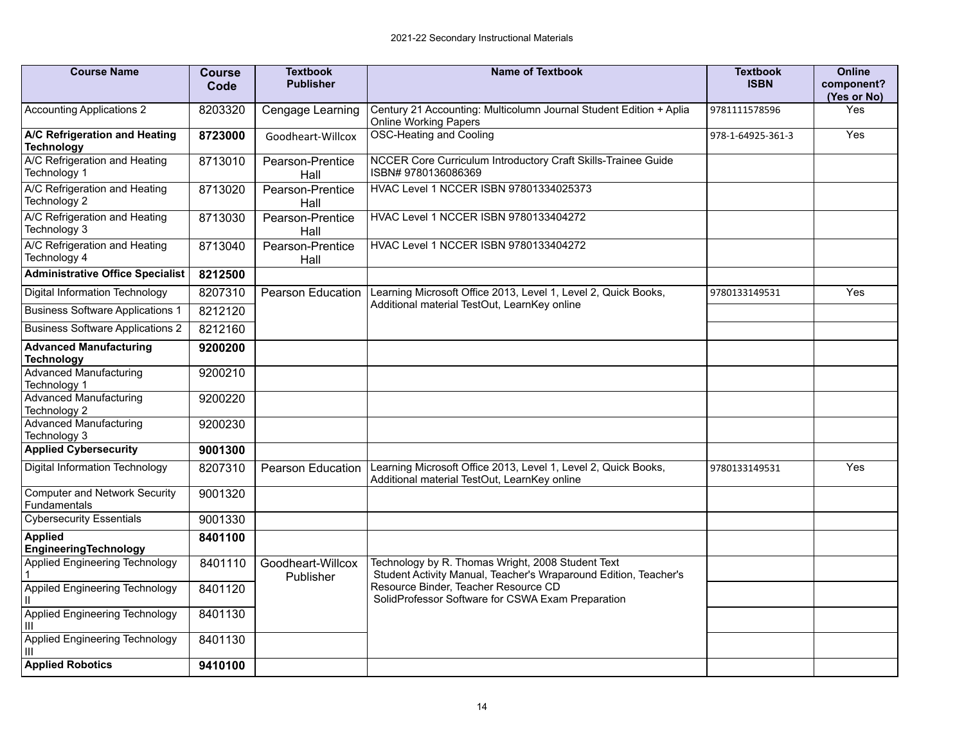| <b>Course Name</b>                                   | <b>Course</b><br>Code | <b>Textbook</b><br><b>Publisher</b> | <b>Name of Textbook</b>                                                                                               | <b>Textbook</b><br><b>ISBN</b> | <b>Online</b><br>component?<br>(Yes or No) |
|------------------------------------------------------|-----------------------|-------------------------------------|-----------------------------------------------------------------------------------------------------------------------|--------------------------------|--------------------------------------------|
| <b>Accounting Applications 2</b>                     | 8203320               | Cengage Learning                    | Century 21 Accounting: Multicolumn Journal Student Edition + Aplia<br><b>Online Working Papers</b>                    | 9781111578596                  | Yes                                        |
| A/C Refrigeration and Heating<br><b>Technology</b>   | 8723000               | Goodheart-Willcox                   | <b>OSC-Heating and Cooling</b>                                                                                        | 978-1-64925-361-3              | Yes                                        |
| A/C Refrigeration and Heating<br>Technology 1        | 8713010               | Pearson-Prentice<br>Hall            | NCCER Core Curriculum Introductory Craft Skills-Trainee Guide<br>ISBN# 9780136086369                                  |                                |                                            |
| A/C Refrigeration and Heating<br>Technology 2        | 8713020               | Pearson-Prentice<br>Hall            | HVAC Level 1 NCCER ISBN 97801334025373                                                                                |                                |                                            |
| A/C Refrigeration and Heating<br>Technology 3        | 8713030               | Pearson-Prentice<br>Hall            | HVAC Level 1 NCCER ISBN 9780133404272                                                                                 |                                |                                            |
| A/C Refrigeration and Heating<br>Technology 4        | 8713040               | Pearson-Prentice<br>Hall            | HVAC Level 1 NCCER ISBN 9780133404272                                                                                 |                                |                                            |
| <b>Administrative Office Specialist</b>              | 8212500               |                                     |                                                                                                                       |                                |                                            |
| Digital Information Technology                       | 8207310               | Pearson Education                   | Learning Microsoft Office 2013, Level 1, Level 2, Quick Books,                                                        | 9780133149531                  | Yes                                        |
| <b>Business Software Applications 1</b>              | 8212120               |                                     | Additional material TestOut, LearnKey online                                                                          |                                |                                            |
| <b>Business Software Applications 2</b>              | 8212160               |                                     |                                                                                                                       |                                |                                            |
| <b>Advanced Manufacturing</b><br><b>Technology</b>   | 9200200               |                                     |                                                                                                                       |                                |                                            |
| <b>Advanced Manufacturing</b><br>Technology 1        | 9200210               |                                     |                                                                                                                       |                                |                                            |
| <b>Advanced Manufacturing</b><br>Technology 2        | 9200220               |                                     |                                                                                                                       |                                |                                            |
| <b>Advanced Manufacturing</b><br>Technology 3        | 9200230               |                                     |                                                                                                                       |                                |                                            |
| <b>Applied Cybersecurity</b>                         | 9001300               |                                     |                                                                                                                       |                                |                                            |
| Digital Information Technology                       | 8207310               | <b>Pearson Education</b>            | Learning Microsoft Office 2013, Level 1, Level 2, Quick Books,<br>Additional material TestOut, LearnKey online        | 9780133149531                  | Yes                                        |
| <b>Computer and Network Security</b><br>Fundamentals | 9001320               |                                     |                                                                                                                       |                                |                                            |
| <b>Cybersecurity Essentials</b>                      | 9001330               |                                     |                                                                                                                       |                                |                                            |
| <b>Applied</b><br>EngineeringTechnology              | 8401100               |                                     |                                                                                                                       |                                |                                            |
| Applied Engineering Technology                       | 8401110               | Goodheart-Willcox<br>Publisher      | Technology by R. Thomas Wright, 2008 Student Text<br>Student Activity Manual, Teacher's Wraparound Edition, Teacher's |                                |                                            |
| Appiled Engineering Technology                       | 8401120               |                                     | Resource Binder, Teacher Resource CD<br>SolidProfessor Software for CSWA Exam Preparation                             |                                |                                            |
| Applied Engineering Technology<br>Ш                  | 8401130               |                                     |                                                                                                                       |                                |                                            |
| Applied Engineering Technology<br>Ш                  | 8401130               |                                     |                                                                                                                       |                                |                                            |
| <b>Applied Robotics</b>                              | 9410100               |                                     |                                                                                                                       |                                |                                            |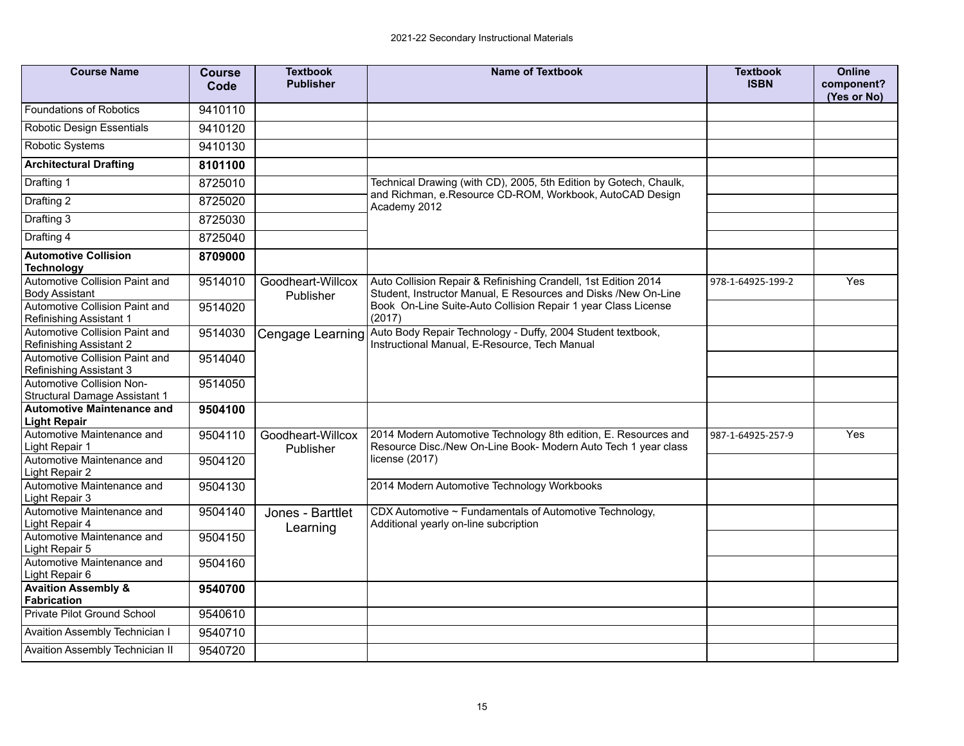| <b>Course Name</b>                                               | <b>Course</b><br>Code | <b>Textbook</b><br><b>Publisher</b> | <b>Name of Textbook</b>                                                                                                                             | <b>Textbook</b><br><b>ISBN</b> | <b>Online</b><br>component?<br>(Yes or No) |
|------------------------------------------------------------------|-----------------------|-------------------------------------|-----------------------------------------------------------------------------------------------------------------------------------------------------|--------------------------------|--------------------------------------------|
| <b>Foundations of Robotics</b>                                   | 9410110               |                                     |                                                                                                                                                     |                                |                                            |
| Robotic Design Essentials                                        | 9410120               |                                     |                                                                                                                                                     |                                |                                            |
| Robotic Systems                                                  | 9410130               |                                     |                                                                                                                                                     |                                |                                            |
| <b>Architectural Drafting</b>                                    | 8101100               |                                     |                                                                                                                                                     |                                |                                            |
| Drafting 1                                                       | 8725010               |                                     | Technical Drawing (with CD), 2005, 5th Edition by Gotech, Chaulk,                                                                                   |                                |                                            |
| Drafting 2                                                       | 8725020               |                                     | and Richman, e.Resource CD-ROM, Workbook, AutoCAD Design<br>Academy 2012                                                                            |                                |                                            |
| Drafting 3                                                       | 8725030               |                                     |                                                                                                                                                     |                                |                                            |
| Drafting 4                                                       | 8725040               |                                     |                                                                                                                                                     |                                |                                            |
| <b>Automotive Collision</b>                                      | 8709000               |                                     |                                                                                                                                                     |                                |                                            |
| <b>Technology</b>                                                |                       |                                     |                                                                                                                                                     |                                |                                            |
| Automotive Collision Paint and<br><b>Body Assistant</b>          | 9514010               | Goodheart-Willcox<br>Publisher      | Auto Collision Repair & Refinishing Crandell, 1st Edition 2014<br>Student, Instructor Manual, E Resources and Disks /New On-Line                    | 978-1-64925-199-2              | Yes                                        |
| Automotive Collision Paint and<br><b>Refinishing Assistant 1</b> | 9514020               |                                     | Book On-Line Suite-Auto Collision Repair 1 year Class License<br>(2017)                                                                             |                                |                                            |
| Automotive Collision Paint and<br>Refinishing Assistant 2        | 9514030               | Cengage Learning                    | Auto Body Repair Technology - Duffy, 2004 Student textbook,<br>Instructional Manual, E-Resource, Tech Manual                                        |                                |                                            |
| Automotive Collision Paint and<br>Refinishing Assistant 3        | 9514040               |                                     |                                                                                                                                                     |                                |                                            |
| Automotive Collision Non-<br>Structural Damage Assistant 1       | 9514050               |                                     |                                                                                                                                                     |                                |                                            |
| <b>Automotive Maintenance and</b><br><b>Light Repair</b>         | 9504100               |                                     |                                                                                                                                                     |                                |                                            |
| Automotive Maintenance and<br>Light Repair 1                     | 9504110               | Goodheart-Willcox<br>Publisher      | 2014 Modern Automotive Technology 8th edition, E. Resources and<br>Resource Disc./New On-Line Book- Modern Auto Tech 1 year class<br>license (2017) | 987-1-64925-257-9              | Yes                                        |
| Automotive Maintenance and<br>Light Repair 2                     | 9504120               |                                     |                                                                                                                                                     |                                |                                            |
| Automotive Maintenance and<br>Light Repair 3                     | 9504130               |                                     | 2014 Modern Automotive Technology Workbooks                                                                                                         |                                |                                            |
| Automotive Maintenance and<br>Light Repair 4                     | 9504140               | Jones - Barttlet<br>Learning        | CDX Automotive ~ Fundamentals of Automotive Technology,<br>Additional yearly on-line subcription                                                    |                                |                                            |
| Automotive Maintenance and<br>Light Repair 5                     | 9504150               |                                     |                                                                                                                                                     |                                |                                            |
| Automotive Maintenance and<br>Light Repair 6                     | 9504160               |                                     |                                                                                                                                                     |                                |                                            |
| <b>Avaition Assembly &amp;</b><br><b>Fabrication</b>             | 9540700               |                                     |                                                                                                                                                     |                                |                                            |
| <b>Private Pilot Ground School</b>                               | 9540610               |                                     |                                                                                                                                                     |                                |                                            |
| Avaition Assembly Technician I                                   | 9540710               |                                     |                                                                                                                                                     |                                |                                            |
| Avaition Assembly Technician II                                  | 9540720               |                                     |                                                                                                                                                     |                                |                                            |
|                                                                  |                       |                                     |                                                                                                                                                     |                                |                                            |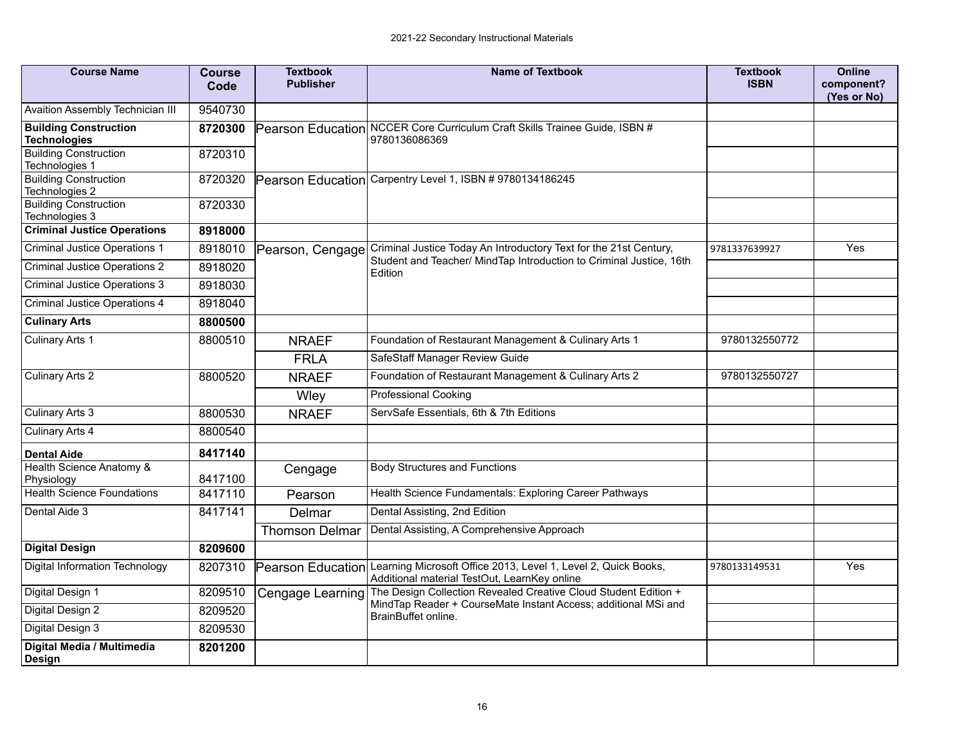| <b>Course Name</b>                                  | <b>Course</b><br>Code | <b>Textbook</b><br><b>Publisher</b> | <b>Name of Textbook</b>                                                                                        | <b>Textbook</b><br><b>ISBN</b> | <b>Online</b><br>component?<br>(Yes or No) |
|-----------------------------------------------------|-----------------------|-------------------------------------|----------------------------------------------------------------------------------------------------------------|--------------------------------|--------------------------------------------|
| Avaition Assembly Technician III                    | 9540730               |                                     |                                                                                                                |                                |                                            |
| <b>Building Construction</b><br><b>Technologies</b> | 8720300               | <b>Pearson Education</b>            | NCCER Core Curriculum Craft Skills Trainee Guide, ISBN #<br>9780136086369                                      |                                |                                            |
| <b>Building Construction</b><br>Technologies 1      | 8720310               |                                     |                                                                                                                |                                |                                            |
| <b>Building Construction</b><br>Technologies 2      | 8720320               |                                     | Pearson Education Carpentry Level 1, ISBN # 9780134186245                                                      |                                |                                            |
| <b>Building Construction</b><br>Technologies 3      | 8720330               |                                     |                                                                                                                |                                |                                            |
| <b>Criminal Justice Operations</b>                  | 8918000               |                                     |                                                                                                                |                                |                                            |
| <b>Criminal Justice Operations 1</b>                | 8918010               | Pearson, Cengage                    | Criminal Justice Today An Introductory Text for the 21st Century,                                              | 9781337639927                  | Yes                                        |
| <b>Criminal Justice Operations 2</b>                | 8918020               |                                     | Student and Teacher/ MindTap Introduction to Criminal Justice, 16th<br>Edition                                 |                                |                                            |
| <b>Criminal Justice Operations 3</b>                | 8918030               |                                     |                                                                                                                |                                |                                            |
| <b>Criminal Justice Operations 4</b>                | 8918040               |                                     |                                                                                                                |                                |                                            |
| <b>Culinary Arts</b>                                | 8800500               |                                     |                                                                                                                |                                |                                            |
| Culinary Arts 1                                     | 8800510               | <b>NRAEF</b>                        | Foundation of Restaurant Management & Culinary Arts 1                                                          | 9780132550772                  |                                            |
|                                                     |                       | <b>FRLA</b>                         | SafeStaff Manager Review Guide                                                                                 |                                |                                            |
| Culinary Arts 2                                     | 8800520               | <b>NRAEF</b>                        | Foundation of Restaurant Management & Culinary Arts 2                                                          | 9780132550727                  |                                            |
|                                                     |                       | Wley                                | <b>Professional Cooking</b>                                                                                    |                                |                                            |
| Culinary Arts 3                                     | 8800530               | <b>NRAEF</b>                        | ServSafe Essentials, 6th & 7th Editions                                                                        |                                |                                            |
| Culinary Arts 4                                     | 8800540               |                                     |                                                                                                                |                                |                                            |
| <b>Dental Aide</b>                                  | 8417140               |                                     |                                                                                                                |                                |                                            |
| Health Science Anatomy &<br>Physiology              | 8417100               | Cengage                             | <b>Body Structures and Functions</b>                                                                           |                                |                                            |
| <b>Health Science Foundations</b>                   | 8417110               | Pearson                             | Health Science Fundamentals: Exploring Career Pathways                                                         |                                |                                            |
| Dental Aide 3                                       | 8417141               | Delmar                              | Dental Assisting, 2nd Edition                                                                                  |                                |                                            |
|                                                     |                       | <b>Thomson Delmar</b>               | Dental Assisting, A Comprehensive Approach                                                                     |                                |                                            |
| <b>Digital Design</b>                               | 8209600               |                                     |                                                                                                                |                                |                                            |
| Digital Information Technology                      | 8207310               | Pearson Education                   | Learning Microsoft Office 2013, Level 1, Level 2, Quick Books,<br>Additional material TestOut, LearnKey online | 9780133149531                  | Yes                                        |
| Digital Design 1                                    | 8209510               | Cengage Learning                    | The Design Collection Revealed Creative Cloud Student Edition +                                                |                                |                                            |
| Digital Design 2                                    | 8209520               |                                     | MindTap Reader + CourseMate Instant Access; additional MSi and<br>BrainBuffet online.                          |                                |                                            |
| Digital Design 3                                    | 8209530               |                                     |                                                                                                                |                                |                                            |
| Digital Media / Multimedia<br>Design                | 8201200               |                                     |                                                                                                                |                                |                                            |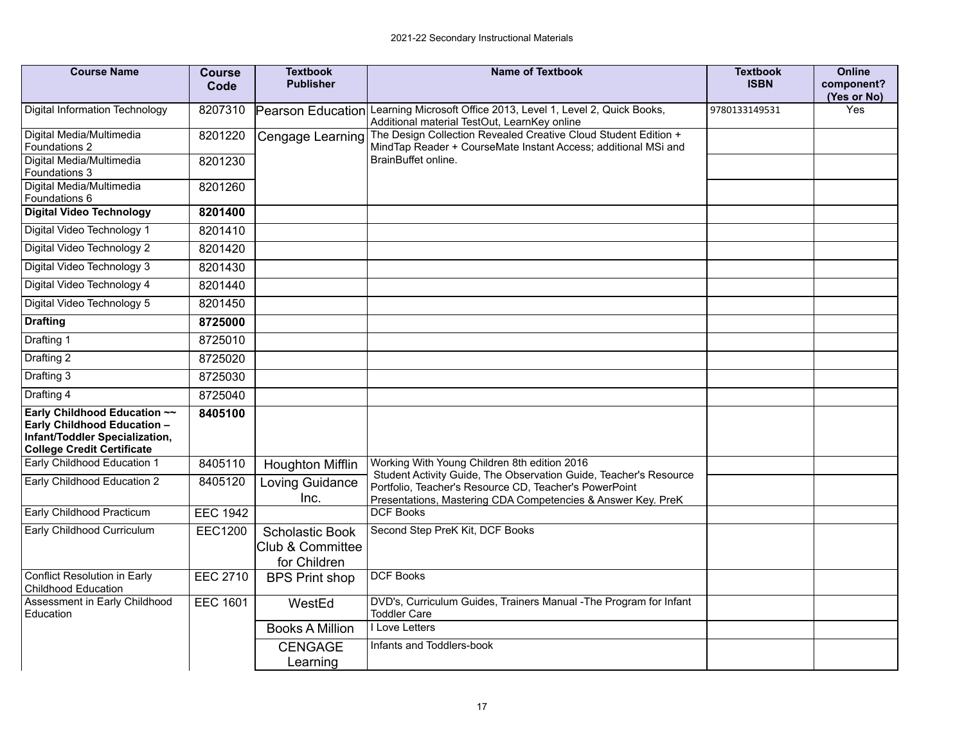| <b>Course Name</b>                                                                                                                 | <b>Course</b><br>Code | <b>Textbook</b><br><b>Publisher</b>                 | <b>Name of Textbook</b>                                                                                                                                                                     | <b>Textbook</b><br><b>ISBN</b> | <b>Online</b><br>component?<br>(Yes or No) |
|------------------------------------------------------------------------------------------------------------------------------------|-----------------------|-----------------------------------------------------|---------------------------------------------------------------------------------------------------------------------------------------------------------------------------------------------|--------------------------------|--------------------------------------------|
| Digital Information Technology                                                                                                     | 8207310               | <b>Pearson Education</b>                            | Learning Microsoft Office 2013, Level 1, Level 2, Quick Books,<br>Additional material TestOut, LearnKey online                                                                              | 9780133149531                  | Yes                                        |
| Digital Media/Multimedia<br>Foundations 2                                                                                          | 8201220               | Cengage Learning                                    | The Design Collection Revealed Creative Cloud Student Edition +<br>MindTap Reader + CourseMate Instant Access; additional MSi and                                                           |                                |                                            |
| Digital Media/Multimedia<br>Foundations 3                                                                                          | 8201230               |                                                     | BrainBuffet online.                                                                                                                                                                         |                                |                                            |
| Digital Media/Multimedia<br>Foundations 6                                                                                          | 8201260               |                                                     |                                                                                                                                                                                             |                                |                                            |
| <b>Digital Video Technology</b>                                                                                                    | 8201400               |                                                     |                                                                                                                                                                                             |                                |                                            |
| Digital Video Technology 1                                                                                                         | 8201410               |                                                     |                                                                                                                                                                                             |                                |                                            |
| Digital Video Technology 2                                                                                                         | 8201420               |                                                     |                                                                                                                                                                                             |                                |                                            |
| Digital Video Technology 3                                                                                                         | 8201430               |                                                     |                                                                                                                                                                                             |                                |                                            |
| Digital Video Technology 4                                                                                                         | 8201440               |                                                     |                                                                                                                                                                                             |                                |                                            |
| Digital Video Technology 5                                                                                                         | 8201450               |                                                     |                                                                                                                                                                                             |                                |                                            |
| <b>Drafting</b>                                                                                                                    | 8725000               |                                                     |                                                                                                                                                                                             |                                |                                            |
| Drafting 1                                                                                                                         | 8725010               |                                                     |                                                                                                                                                                                             |                                |                                            |
| Drafting 2                                                                                                                         | 8725020               |                                                     |                                                                                                                                                                                             |                                |                                            |
| Drafting 3                                                                                                                         | 8725030               |                                                     |                                                                                                                                                                                             |                                |                                            |
| Drafting 4                                                                                                                         | 8725040               |                                                     |                                                                                                                                                                                             |                                |                                            |
| Early Childhood Education ~~<br>Early Childhood Education -<br>Infant/Toddler Specialization,<br><b>College Credit Certificate</b> | 8405100               |                                                     |                                                                                                                                                                                             |                                |                                            |
| Early Childhood Education 1                                                                                                        | 8405110               | Houghton Mifflin                                    | Working With Young Children 8th edition 2016                                                                                                                                                |                                |                                            |
| Early Childhood Education 2                                                                                                        | 8405120               | Loving Guidance<br>Inc.                             | Student Activity Guide, The Observation Guide, Teacher's Resource<br>Portfolio, Teacher's Resource CD, Teacher's PowerPoint<br>Presentations, Mastering CDA Competencies & Answer Key. PreK |                                |                                            |
| Early Childhood Practicum                                                                                                          | <b>EEC 1942</b>       |                                                     | <b>DCF Books</b>                                                                                                                                                                            |                                |                                            |
| Early Childhood Curriculum                                                                                                         | <b>EEC1200</b>        | Scholastic Book<br>Club & Committee<br>for Children | Second Step PreK Kit, DCF Books                                                                                                                                                             |                                |                                            |
| Conflict Resolution in Early<br>Childhood Education                                                                                | <b>EEC 2710</b>       | <b>BPS Print shop</b>                               | <b>DCF Books</b>                                                                                                                                                                            |                                |                                            |
| Assessment in Early Childhood<br>Education                                                                                         | <b>EEC 1601</b>       | WestEd                                              | DVD's, Curriculum Guides, Trainers Manual - The Program for Infant<br><b>Toddler Care</b>                                                                                                   |                                |                                            |
|                                                                                                                                    |                       | <b>Books A Million</b>                              | I Love Letters                                                                                                                                                                              |                                |                                            |
|                                                                                                                                    |                       | <b>CENGAGE</b><br>Learning                          | Infants and Toddlers-book                                                                                                                                                                   |                                |                                            |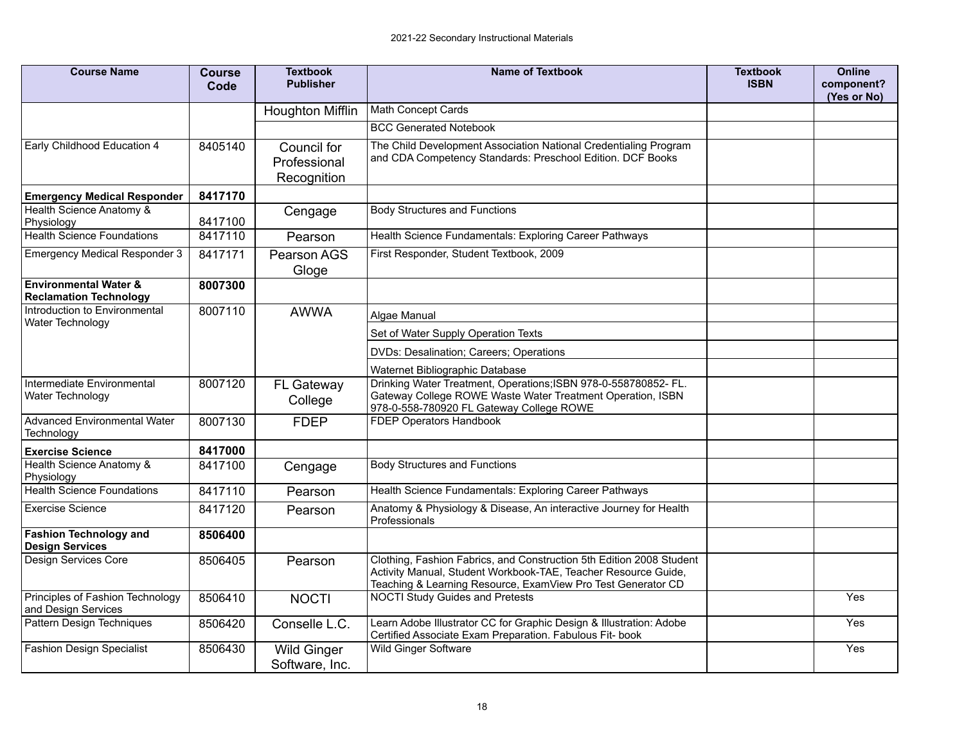| <b>Course Name</b>                                                | <b>Course</b><br>Code | <b>Textbook</b><br><b>Publisher</b>        | <b>Name of Textbook</b>                                                                                                                                                                                | <b>Textbook</b><br><b>ISBN</b> | <b>Online</b><br>component?<br>(Yes or No) |
|-------------------------------------------------------------------|-----------------------|--------------------------------------------|--------------------------------------------------------------------------------------------------------------------------------------------------------------------------------------------------------|--------------------------------|--------------------------------------------|
|                                                                   |                       | Houghton Mifflin                           | Math Concept Cards                                                                                                                                                                                     |                                |                                            |
|                                                                   |                       |                                            | <b>BCC Generated Notebook</b>                                                                                                                                                                          |                                |                                            |
| Early Childhood Education 4                                       | 8405140               | Council for<br>Professional<br>Recognition | The Child Development Association National Credentialing Program<br>and CDA Competency Standards: Preschool Edition. DCF Books                                                                         |                                |                                            |
| <b>Emergency Medical Responder</b>                                | 8417170               |                                            |                                                                                                                                                                                                        |                                |                                            |
| Health Science Anatomy &<br>Physiology                            | 8417100               | Cengage                                    | <b>Body Structures and Functions</b>                                                                                                                                                                   |                                |                                            |
| <b>Health Science Foundations</b>                                 | 8417110               | Pearson                                    | Health Science Fundamentals: Exploring Career Pathways                                                                                                                                                 |                                |                                            |
| <b>Emergency Medical Responder 3</b>                              | 8417171               | Pearson AGS<br>Gloge                       | First Responder, Student Textbook, 2009                                                                                                                                                                |                                |                                            |
| <b>Environmental Water &amp;</b><br><b>Reclamation Technology</b> | 8007300               |                                            |                                                                                                                                                                                                        |                                |                                            |
| Introduction to Environmental<br>Water Technology                 | 8007110               | <b>AWWA</b>                                | Algae Manual                                                                                                                                                                                           |                                |                                            |
|                                                                   |                       |                                            | Set of Water Supply Operation Texts                                                                                                                                                                    |                                |                                            |
|                                                                   |                       |                                            | DVDs: Desalination; Careers; Operations                                                                                                                                                                |                                |                                            |
|                                                                   |                       |                                            | Waternet Bibliographic Database                                                                                                                                                                        |                                |                                            |
| Intermediate Environmental<br>Water Technology                    | 8007120               | FL Gateway<br>College                      | Drinking Water Treatment, Operations; ISBN 978-0-558780852- FL.<br>Gateway College ROWE Waste Water Treatment Operation, ISBN<br>978-0-558-780920 FL Gateway College ROWE                              |                                |                                            |
| <b>Advanced Environmental Water</b><br>Technology                 | 8007130               | <b>FDEP</b>                                | FDEP Operators Handbook                                                                                                                                                                                |                                |                                            |
| <b>Exercise Science</b>                                           | 8417000               |                                            |                                                                                                                                                                                                        |                                |                                            |
| Health Science Anatomy &<br>Physiology                            | 8417100               | Cengage                                    | <b>Body Structures and Functions</b>                                                                                                                                                                   |                                |                                            |
| <b>Health Science Foundations</b>                                 | 8417110               | Pearson                                    | Health Science Fundamentals: Exploring Career Pathways                                                                                                                                                 |                                |                                            |
| <b>Exercise Science</b>                                           | 8417120               | Pearson                                    | Anatomy & Physiology & Disease, An interactive Journey for Health<br>Professionals                                                                                                                     |                                |                                            |
| <b>Fashion Technology and</b><br><b>Design Services</b>           | 8506400               |                                            |                                                                                                                                                                                                        |                                |                                            |
| Design Services Core                                              | 8506405               | Pearson                                    | Clothing, Fashion Fabrics, and Construction 5th Edition 2008 Student<br>Activity Manual, Student Workbook-TAE, Teacher Resource Guide,<br>Teaching & Learning Resource, ExamView Pro Test Generator CD |                                |                                            |
| Principles of Fashion Technology<br>and Design Services           | 8506410               | <b>NOCTI</b>                               | <b>NOCTI Study Guides and Pretests</b>                                                                                                                                                                 |                                | Yes                                        |
| Pattern Design Techniques                                         | 8506420               | Conselle L.C.                              | Learn Adobe Illustrator CC for Graphic Design & Illustration: Adobe<br>Certified Associate Exam Preparation. Fabulous Fit- book                                                                        |                                | Yes                                        |
| <b>Fashion Design Specialist</b>                                  | 8506430               | <b>Wild Ginger</b><br>Software, Inc.       | <b>Wild Ginger Software</b>                                                                                                                                                                            |                                | Yes                                        |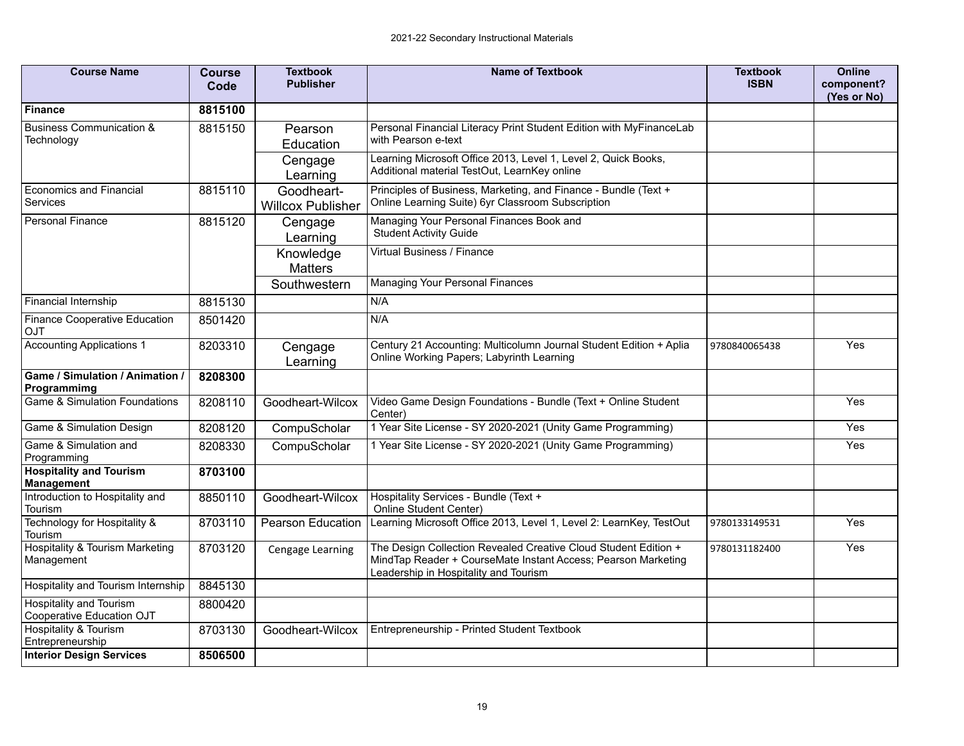| <b>Course Name</b>                                   | <b>Course</b><br>Code | <b>Textbook</b><br><b>Publisher</b>    | <b>Name of Textbook</b>                                                                                                                                                   | <b>Textbook</b><br><b>ISBN</b> | <b>Online</b><br>component?<br>(Yes or No) |
|------------------------------------------------------|-----------------------|----------------------------------------|---------------------------------------------------------------------------------------------------------------------------------------------------------------------------|--------------------------------|--------------------------------------------|
| <b>Finance</b>                                       | 8815100               |                                        |                                                                                                                                                                           |                                |                                            |
| <b>Business Communication &amp;</b><br>Technology    | 8815150               | Pearson<br>Education                   | Personal Financial Literacy Print Student Edition with MyFinanceLab<br>with Pearson e-text                                                                                |                                |                                            |
|                                                      |                       | Cengage<br>Learning                    | Learning Microsoft Office 2013, Level 1, Level 2, Quick Books,<br>Additional material TestOut, LearnKey online                                                            |                                |                                            |
| <b>Economics and Financial</b><br>Services           | 8815110               | Goodheart-<br><b>Willcox Publisher</b> | Principles of Business, Marketing, and Finance - Bundle (Text +<br>Online Learning Suite) 6yr Classroom Subscription                                                      |                                |                                            |
| <b>Personal Finance</b>                              | 8815120               | Cengage<br>Learning                    | Managing Your Personal Finances Book and<br><b>Student Activity Guide</b>                                                                                                 |                                |                                            |
|                                                      |                       | Knowledge<br><b>Matters</b>            | Virtual Business / Finance                                                                                                                                                |                                |                                            |
|                                                      |                       | Southwestern                           | <b>Managing Your Personal Finances</b>                                                                                                                                    |                                |                                            |
| <b>Financial Internship</b>                          | 8815130               |                                        | N/A                                                                                                                                                                       |                                |                                            |
| Finance Cooperative Education<br>OJT                 | 8501420               |                                        | N/A                                                                                                                                                                       |                                |                                            |
| <b>Accounting Applications 1</b>                     | 8203310               | Cengage<br>Learning                    | Century 21 Accounting: Multicolumn Journal Student Edition + Aplia<br>Online Working Papers; Labyrinth Learning                                                           | 9780840065438                  | Yes                                        |
| Game / Simulation / Animation /<br>Programmimg       | 8208300               |                                        |                                                                                                                                                                           |                                |                                            |
| <b>Game &amp; Simulation Foundations</b>             | 8208110               | Goodheart-Wilcox                       | Video Game Design Foundations - Bundle (Text + Online Student<br>Center)                                                                                                  |                                | Yes                                        |
| Game & Simulation Design                             | 8208120               | CompuScholar                           | 1 Year Site License - SY 2020-2021 (Unity Game Programming)                                                                                                               |                                | Yes                                        |
| Game & Simulation and<br>Programming                 | 8208330               | CompuScholar                           | 1 Year Site License - SY 2020-2021 (Unity Game Programming)                                                                                                               |                                | Yes                                        |
| <b>Hospitality and Tourism</b><br><b>Management</b>  | 8703100               |                                        |                                                                                                                                                                           |                                |                                            |
| Introduction to Hospitality and<br>Tourism           | 8850110               | Goodheart-Wilcox                       | Hospitality Services - Bundle (Text +<br>Online Student Center)                                                                                                           |                                |                                            |
| Technology for Hospitality &<br>Tourism              | 8703110               | <b>Pearson Education</b>               | Learning Microsoft Office 2013, Level 1, Level 2: LearnKey, TestOut                                                                                                       | 9780133149531                  | Yes                                        |
| Hospitality & Tourism Marketing<br>Management        | 8703120               | Cengage Learning                       | The Design Collection Revealed Creative Cloud Student Edition +<br>MindTap Reader + CourseMate Instant Access; Pearson Marketing<br>Leadership in Hospitality and Tourism | 9780131182400                  | Yes                                        |
| Hospitality and Tourism Internship                   | 8845130               |                                        |                                                                                                                                                                           |                                |                                            |
| Hospitality and Tourism<br>Cooperative Education OJT | 8800420               |                                        |                                                                                                                                                                           |                                |                                            |
| <b>Hospitality &amp; Tourism</b><br>Entrepreneurship | 8703130               | Goodheart-Wilcox                       | Entrepreneurship - Printed Student Textbook                                                                                                                               |                                |                                            |
| <b>Interior Design Services</b>                      | 8506500               |                                        |                                                                                                                                                                           |                                |                                            |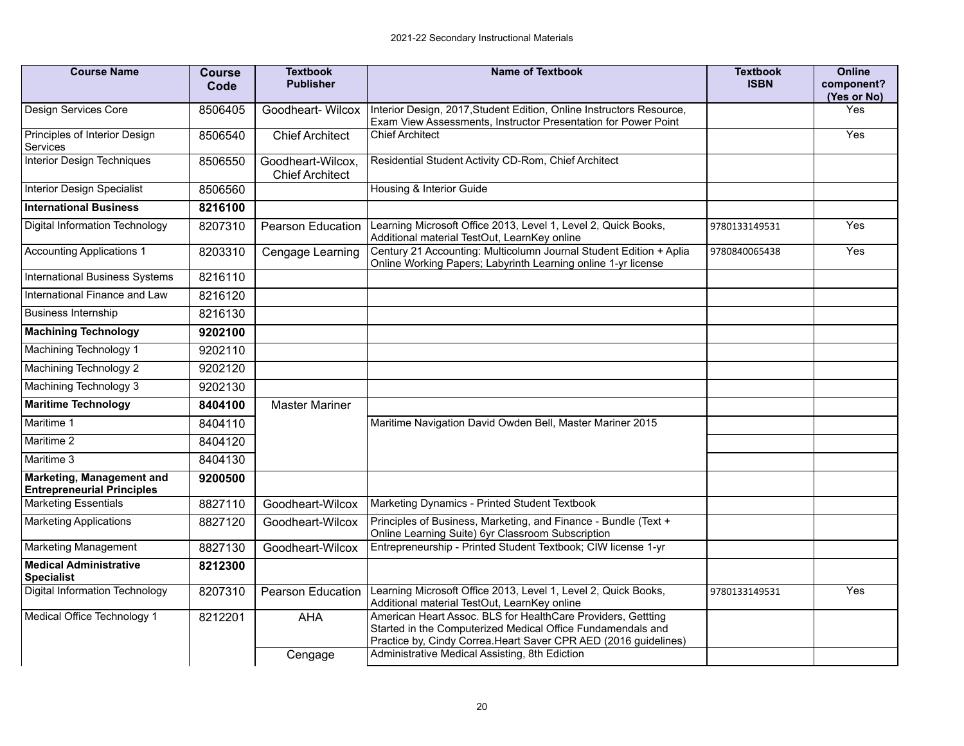| <b>Course Name</b>                                             | <b>Course</b><br>Code | <b>Textbook</b><br><b>Publisher</b>         | <b>Name of Textbook</b>                                                                                                                                                                         | <b>Textbook</b><br><b>ISBN</b> | <b>Online</b><br>component?<br>(Yes or No) |
|----------------------------------------------------------------|-----------------------|---------------------------------------------|-------------------------------------------------------------------------------------------------------------------------------------------------------------------------------------------------|--------------------------------|--------------------------------------------|
| Design Services Core                                           | 8506405               | Goodheart-Wilcox                            | Interior Design, 2017, Student Edition, Online Instructors Resource,<br>Exam View Assessments, Instructor Presentation for Power Point                                                          |                                | Yes                                        |
| Principles of Interior Design<br><b>Services</b>               | 8506540               | <b>Chief Architect</b>                      | <b>Chief Architect</b>                                                                                                                                                                          |                                | Yes                                        |
| <b>Interior Design Techniques</b>                              | 8506550               | Goodheart-Wilcox,<br><b>Chief Architect</b> | Residential Student Activity CD-Rom, Chief Architect                                                                                                                                            |                                |                                            |
| <b>Interior Design Specialist</b>                              | 8506560               |                                             | Housing & Interior Guide                                                                                                                                                                        |                                |                                            |
| <b>International Business</b>                                  | 8216100               |                                             |                                                                                                                                                                                                 |                                |                                            |
| Digital Information Technology                                 | 8207310               | <b>Pearson Education</b>                    | Learning Microsoft Office 2013, Level 1, Level 2, Quick Books,<br>Additional material TestOut, LearnKey online                                                                                  | 9780133149531                  | Yes                                        |
| <b>Accounting Applications 1</b>                               | 8203310               | Cengage Learning                            | Century 21 Accounting: Multicolumn Journal Student Edition + Aplia<br>Online Working Papers; Labyrinth Learning online 1-yr license                                                             | 9780840065438                  | Yes                                        |
| <b>International Business Systems</b>                          | 8216110               |                                             |                                                                                                                                                                                                 |                                |                                            |
| International Finance and Law                                  | 8216120               |                                             |                                                                                                                                                                                                 |                                |                                            |
| <b>Business Internship</b>                                     | 8216130               |                                             |                                                                                                                                                                                                 |                                |                                            |
| <b>Machining Technology</b>                                    | 9202100               |                                             |                                                                                                                                                                                                 |                                |                                            |
| Machining Technology 1                                         | 9202110               |                                             |                                                                                                                                                                                                 |                                |                                            |
| Machining Technology 2                                         | 9202120               |                                             |                                                                                                                                                                                                 |                                |                                            |
| Machining Technology 3                                         | 9202130               |                                             |                                                                                                                                                                                                 |                                |                                            |
| <b>Maritime Technology</b>                                     | 8404100               | <b>Master Mariner</b>                       |                                                                                                                                                                                                 |                                |                                            |
| Maritime 1                                                     | 8404110               |                                             | Maritime Navigation David Owden Bell, Master Mariner 2015                                                                                                                                       |                                |                                            |
| Maritime 2                                                     | 8404120               |                                             |                                                                                                                                                                                                 |                                |                                            |
| Maritime 3                                                     | 8404130               |                                             |                                                                                                                                                                                                 |                                |                                            |
| Marketing, Management and<br><b>Entrepreneurial Principles</b> | 9200500               |                                             |                                                                                                                                                                                                 |                                |                                            |
| <b>Marketing Essentials</b>                                    | 8827110               | Goodheart-Wilcox                            | Marketing Dynamics - Printed Student Textbook                                                                                                                                                   |                                |                                            |
| <b>Marketing Applications</b>                                  | 8827120               | Goodheart-Wilcox                            | Principles of Business, Marketing, and Finance - Bundle (Text +<br>Online Learning Suite) 6yr Classroom Subscription                                                                            |                                |                                            |
| <b>Marketing Management</b>                                    | 8827130               | Goodheart-Wilcox                            | Entrepreneurship - Printed Student Textbook; CIW license 1-yr                                                                                                                                   |                                |                                            |
| <b>Medical Administrative</b><br><b>Specialist</b>             | 8212300               |                                             |                                                                                                                                                                                                 |                                |                                            |
| Digital Information Technology                                 | 8207310               | Pearson Education                           | Learning Microsoft Office 2013, Level 1, Level 2, Quick Books,<br>Additional material TestOut, LearnKey online                                                                                  | 9780133149531                  | Yes                                        |
| Medical Office Technology 1                                    | 8212201               | AHA                                         | American Heart Assoc. BLS for HealthCare Providers, Gettting<br>Started in the Computerized Medical Office Fundamendals and<br>Practice by, Cindy Correa. Heart Saver CPR AED (2016 guidelines) |                                |                                            |
|                                                                |                       | Cengage                                     | Administrative Medical Assisting, 8th Ediction                                                                                                                                                  |                                |                                            |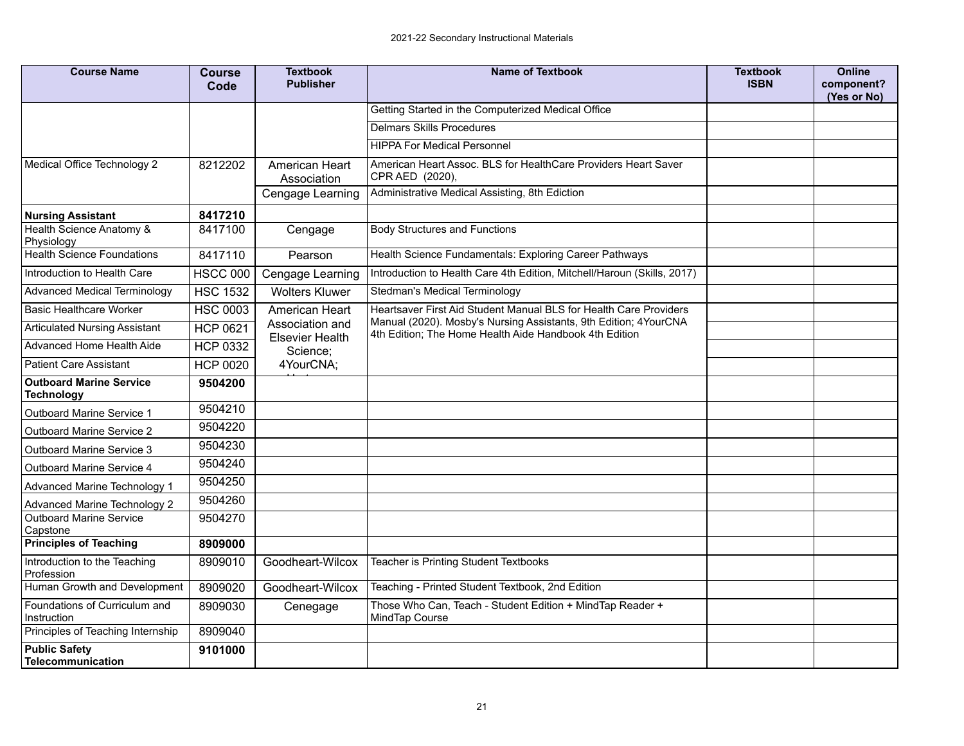| <b>Course Name</b>                                        | <b>Course</b><br>Code | <b>Textbook</b><br><b>Publisher</b> | <b>Name of Textbook</b>                                                                                                    | <b>Textbook</b><br><b>ISBN</b> | <b>Online</b><br>component?<br>(Yes or No) |
|-----------------------------------------------------------|-----------------------|-------------------------------------|----------------------------------------------------------------------------------------------------------------------------|--------------------------------|--------------------------------------------|
|                                                           |                       |                                     | Getting Started in the Computerized Medical Office                                                                         |                                |                                            |
|                                                           |                       |                                     | <b>Delmars Skills Procedures</b>                                                                                           |                                |                                            |
|                                                           |                       |                                     | <b>HIPPA For Medical Personnel</b>                                                                                         |                                |                                            |
| Medical Office Technology 2                               | 8212202               | American Heart<br>Association       | American Heart Assoc. BLS for HealthCare Providers Heart Saver<br>CPR AED (2020),                                          |                                |                                            |
|                                                           |                       | Cengage Learning                    | Administrative Medical Assisting, 8th Ediction                                                                             |                                |                                            |
| <b>Nursing Assistant</b>                                  | 8417210               |                                     |                                                                                                                            |                                |                                            |
| Health Science Anatomy &<br>Physiology                    | 8417100               | Cengage                             | <b>Body Structures and Functions</b>                                                                                       |                                |                                            |
| <b>Health Science Foundations</b>                         | 8417110               | Pearson                             | Health Science Fundamentals: Exploring Career Pathways                                                                     |                                |                                            |
| Introduction to Health Care                               | <b>HSCC 000</b>       | Cengage Learning                    | Introduction to Health Care 4th Edition, Mitchell/Haroun (Skills, 2017)                                                    |                                |                                            |
| <b>Advanced Medical Terminology</b>                       | <b>HSC 1532</b>       | <b>Wolters Kluwer</b>               | Stedman's Medical Terminology                                                                                              |                                |                                            |
| <b>Basic Healthcare Worker</b>                            | <b>HSC 0003</b>       | American Heart                      | Heartsaver First Aid Student Manual BLS for Health Care Providers                                                          |                                |                                            |
| <b>Articulated Nursing Assistant</b>                      | <b>HCP 0621</b>       | Association and                     | Manual (2020). Mosby's Nursing Assistants, 9th Edition; 4YourCNA<br>4th Edition; The Home Health Aide Handbook 4th Edition |                                |                                            |
| Advanced Home Health Aide                                 | <b>HCP 0332</b>       | <b>Elsevier Health</b><br>Science;  |                                                                                                                            |                                |                                            |
| <b>Patient Care Assistant</b>                             | <b>HCP 0020</b>       | 4YourCNA;                           |                                                                                                                            |                                |                                            |
| <b>Outboard Marine Service</b><br><b>Technology</b>       | 9504200               |                                     |                                                                                                                            |                                |                                            |
| <b>Outboard Marine Service 1</b>                          | 9504210               |                                     |                                                                                                                            |                                |                                            |
| <b>Outboard Marine Service 2</b>                          | 9504220               |                                     |                                                                                                                            |                                |                                            |
| <b>Outboard Marine Service 3</b>                          | 9504230               |                                     |                                                                                                                            |                                |                                            |
| <b>Outboard Marine Service 4</b>                          | 9504240               |                                     |                                                                                                                            |                                |                                            |
| Advanced Marine Technology 1                              | 9504250               |                                     |                                                                                                                            |                                |                                            |
| <b>Advanced Marine Technology 2</b>                       | 9504260               |                                     |                                                                                                                            |                                |                                            |
| <b>Outboard Marine Service</b><br>Capstone                | 9504270               |                                     |                                                                                                                            |                                |                                            |
| <b>Principles of Teaching</b>                             | 8909000               |                                     |                                                                                                                            |                                |                                            |
| Introduction to the Teaching<br>Profession                | 8909010               | Goodheart-Wilcox                    | Teacher is Printing Student Textbooks                                                                                      |                                |                                            |
| Human Growth and Development                              | 8909020               | Goodheart-Wilcox                    | Teaching - Printed Student Textbook, 2nd Edition                                                                           |                                |                                            |
| Foundations of Curriculum and<br>Instruction              | 8909030               | Cenegage                            | Those Who Can, Teach - Student Edition + MindTap Reader +<br>MindTap Course                                                |                                |                                            |
|                                                           | 8909040               |                                     |                                                                                                                            |                                |                                            |
| Principles of Teaching Internship<br><b>Public Safety</b> | 9101000               |                                     |                                                                                                                            |                                |                                            |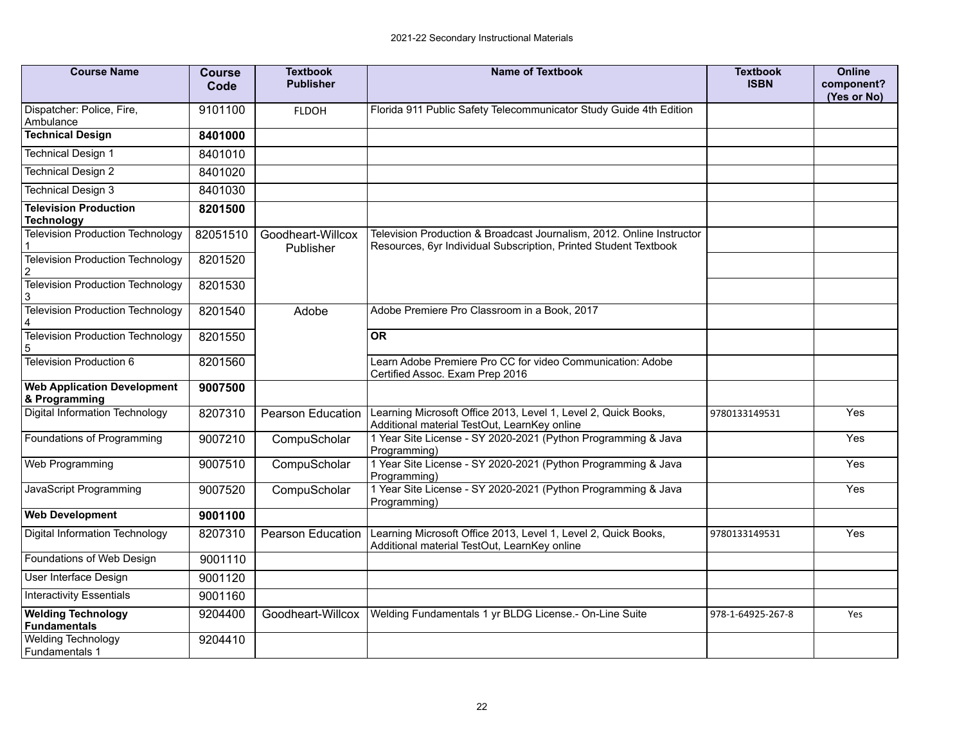| <b>Course Name</b>                                  | <b>Course</b><br>Code | <b>Textbook</b><br><b>Publisher</b> | <b>Name of Textbook</b>                                                                                                                   | <b>Textbook</b><br><b>ISBN</b> | <b>Online</b><br>component?<br>(Yes or No) |
|-----------------------------------------------------|-----------------------|-------------------------------------|-------------------------------------------------------------------------------------------------------------------------------------------|--------------------------------|--------------------------------------------|
| Dispatcher: Police, Fire,<br>Ambulance              | 9101100               | <b>FLDOH</b>                        | Florida 911 Public Safety Telecommunicator Study Guide 4th Edition                                                                        |                                |                                            |
| <b>Technical Design</b>                             | 8401000               |                                     |                                                                                                                                           |                                |                                            |
| <b>Technical Design 1</b>                           | 8401010               |                                     |                                                                                                                                           |                                |                                            |
| <b>Technical Design 2</b>                           | 8401020               |                                     |                                                                                                                                           |                                |                                            |
| <b>Technical Design 3</b>                           | 8401030               |                                     |                                                                                                                                           |                                |                                            |
| <b>Television Production</b><br><b>Technology</b>   | 8201500               |                                     |                                                                                                                                           |                                |                                            |
| <b>Television Production Technology</b>             | 82051510              | Goodheart-Willcox<br>Publisher      | Television Production & Broadcast Journalism, 2012. Online Instructor<br>Resources, 6yr Individual Subscription, Printed Student Textbook |                                |                                            |
| <b>Television Production Technology</b>             | 8201520               |                                     |                                                                                                                                           |                                |                                            |
| <b>Television Production Technology</b><br>3        | 8201530               |                                     |                                                                                                                                           |                                |                                            |
| <b>Television Production Technology</b>             | 8201540               | Adobe                               | Adobe Premiere Pro Classroom in a Book, 2017                                                                                              |                                |                                            |
| <b>Television Production Technology</b>             | 8201550               |                                     | <b>OR</b>                                                                                                                                 |                                |                                            |
| Television Production 6                             | 8201560               |                                     | Learn Adobe Premiere Pro CC for video Communication: Adobe<br>Certified Assoc. Exam Prep 2016                                             |                                |                                            |
| <b>Web Application Development</b><br>& Programming | 9007500               |                                     |                                                                                                                                           |                                |                                            |
| Digital Information Technology                      | 8207310               | <b>Pearson Education</b>            | Learning Microsoft Office 2013, Level 1, Level 2, Quick Books,<br>Additional material TestOut, LearnKey online                            | 9780133149531                  | Yes                                        |
| Foundations of Programming                          | 9007210               | CompuScholar                        | 1 Year Site License - SY 2020-2021 (Python Programming & Java<br>Programming)                                                             |                                | $\overline{Y}$ es                          |
| Web Programming                                     | 9007510               | CompuScholar                        | 1 Year Site License - SY 2020-2021 (Python Programming & Java<br>Programming)                                                             |                                | Yes                                        |
| JavaScript Programming                              | 9007520               | CompuScholar                        | 1 Year Site License - SY 2020-2021 (Python Programming & Java<br>Programming)                                                             |                                | Yes                                        |
| <b>Web Development</b>                              | 9001100               |                                     |                                                                                                                                           |                                |                                            |
| Digital Information Technology                      | 8207310               | <b>Pearson Education</b>            | Learning Microsoft Office 2013, Level 1, Level 2, Quick Books,<br>Additional material TestOut, LearnKey online                            | 9780133149531                  | Yes                                        |
| Foundations of Web Design                           | 9001110               |                                     |                                                                                                                                           |                                |                                            |
| User Interface Design                               | 9001120               |                                     |                                                                                                                                           |                                |                                            |
| <b>Interactivity Essentials</b>                     | 9001160               |                                     |                                                                                                                                           |                                |                                            |
| <b>Welding Technology</b><br><b>Fundamentals</b>    | 9204400               | Goodheart-Willcox                   | Welding Fundamentals 1 yr BLDG License.- On-Line Suite                                                                                    | 978-1-64925-267-8              | Yes                                        |
| <b>Welding Technology</b>                           | 9204410               |                                     |                                                                                                                                           |                                |                                            |